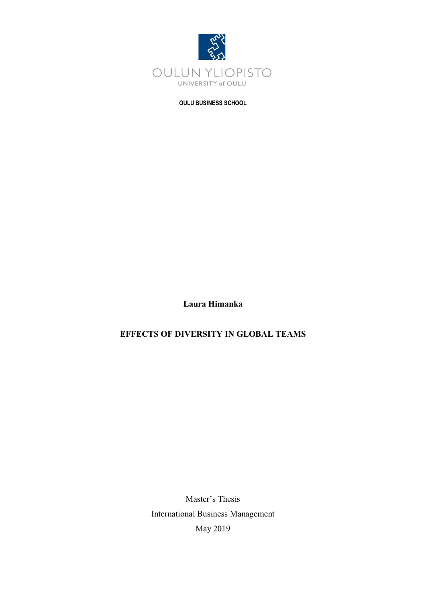

### **OULU BUSINESS SCHOOL**

**Laura Himanka**

# **EFFECTS OF DIVERSITY IN GLOBAL TEAMS**

Master's Thesis International Business Management May 2019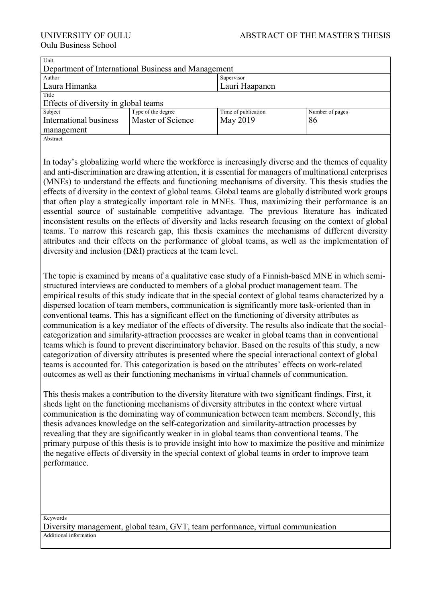| Unit                                                                                                   |                    |                     |                                                                                                                                                                                                                 |  |
|--------------------------------------------------------------------------------------------------------|--------------------|---------------------|-----------------------------------------------------------------------------------------------------------------------------------------------------------------------------------------------------------------|--|
| Department of International Business and Management                                                    |                    |                     |                                                                                                                                                                                                                 |  |
| Author                                                                                                 |                    | Supervisor          |                                                                                                                                                                                                                 |  |
| Laura Himanka                                                                                          |                    | Lauri Haapanen      |                                                                                                                                                                                                                 |  |
| Title                                                                                                  |                    |                     |                                                                                                                                                                                                                 |  |
| Effects of diversity in global teams                                                                   |                    |                     |                                                                                                                                                                                                                 |  |
| Subject                                                                                                | Type of the degree | Time of publication | Number of pages                                                                                                                                                                                                 |  |
| International business                                                                                 | Master of Science  | May 2019            | 86                                                                                                                                                                                                              |  |
| management                                                                                             |                    |                     |                                                                                                                                                                                                                 |  |
| Abstract                                                                                               |                    |                     |                                                                                                                                                                                                                 |  |
|                                                                                                        |                    |                     |                                                                                                                                                                                                                 |  |
|                                                                                                        |                    |                     | In today's globalizing world where the workforce is increasingly diverse and the themes of equality<br>and anti-discrimination are drawing attention, it is essential for managers of multinational enterprises |  |
| (MNEs) to understand the effects and functioning mechanisms of diversity. This thesis studies the      |                    |                     |                                                                                                                                                                                                                 |  |
| effects of diversity in the context of global teams. Global teams are globally distributed work groups |                    |                     |                                                                                                                                                                                                                 |  |

that often play a strategically important role in MNEs. Thus, maximizing their performance is an essential source of sustainable competitive advantage. The previous literature has indicated inconsistent results on the effects of diversity and lacks research focusing on the context of global teams. To narrow this research gap, this thesis examines the mechanisms of different diversity attributes and their effects on the performance of global teams, as well as the implementation of diversity and inclusion (D&I) practices at the team level.

The topic is examined by means of a qualitative case study of a Finnish-based MNE in which semistructured interviews are conducted to members of a global product management team. The empirical results of this study indicate that in the special context of global teams characterized by a dispersed location of team members, communication is significantly more task-oriented than in conventional teams. This has a significant effect on the functioning of diversity attributes as communication is a key mediator of the effects of diversity. The results also indicate that the socialcategorization and similarity-attraction processes are weaker in global teams than in conventional teams which is found to prevent discriminatory behavior. Based on the results of this study, a new categorization of diversity attributes is presented where the special interactional context of global teams is accounted for. This categorization is based on the attributes' effects on work-related outcomes as well as their functioning mechanisms in virtual channels of communication.

This thesis makes a contribution to the diversity literature with two significant findings. First, it sheds light on the functioning mechanisms of diversity attributes in the context where virtual communication is the dominating way of communication between team members. Secondly, this thesis advances knowledge on the self-categorization and similarity-attraction processes by revealing that they are significantly weaker in in global teams than conventional teams. The primary purpose of this thesis is to provide insight into how to maximize the positive and minimize the negative effects of diversity in the special context of global teams in order to improve team performance.

Keywords

Diversity management, global team, GVT, team performance, virtual communication Additional information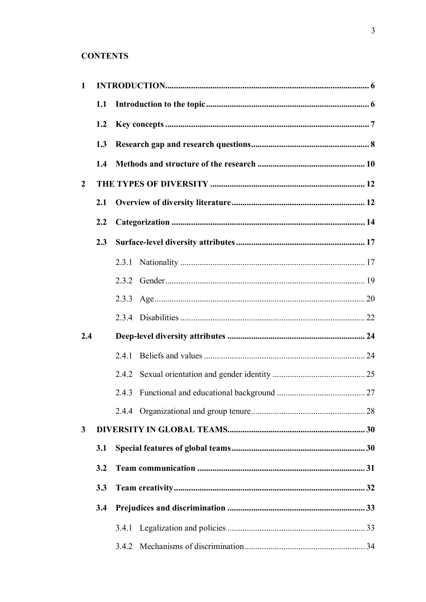# **CONTENTS**

| $\mathbf{1}$   |     |       |  |
|----------------|-----|-------|--|
|                | 1.1 |       |  |
|                | 1.2 |       |  |
|                | 1.3 |       |  |
|                | 1.4 |       |  |
| $\overline{2}$ |     |       |  |
|                | 2.1 |       |  |
|                | 2.2 |       |  |
|                | 2.3 |       |  |
|                |     |       |  |
|                |     |       |  |
|                |     |       |  |
|                |     |       |  |
| 2.4            |     |       |  |
|                |     | 2.4.1 |  |
|                |     |       |  |
|                |     |       |  |
|                |     |       |  |
| 3              |     |       |  |
|                | 3.1 |       |  |
|                | 3.2 |       |  |
|                | 3.3 |       |  |
|                | 3.4 |       |  |
|                |     |       |  |
|                |     | 3.4.2 |  |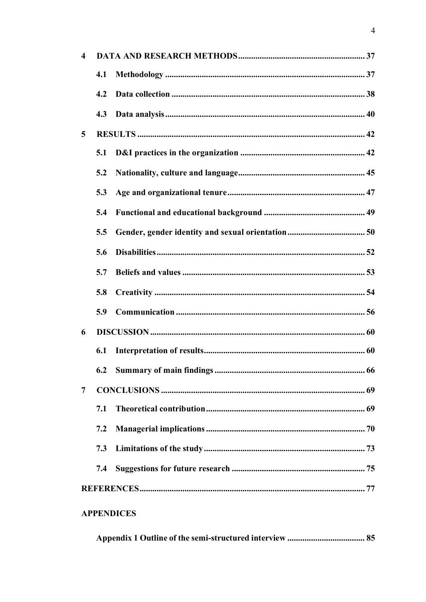| $\overline{\mathbf{4}}$ |     |                   |  |
|-------------------------|-----|-------------------|--|
|                         | 4.1 |                   |  |
|                         | 4.2 |                   |  |
|                         | 4.3 |                   |  |
| $5\overline{)}$         |     |                   |  |
|                         | 5.1 |                   |  |
|                         | 5.2 |                   |  |
|                         | 5.3 |                   |  |
|                         | 5.4 |                   |  |
|                         | 5.5 |                   |  |
|                         | 5.6 |                   |  |
|                         | 5.7 |                   |  |
|                         | 5.8 |                   |  |
|                         | 5.9 |                   |  |
| 6                       |     |                   |  |
|                         | 6.1 |                   |  |
|                         |     |                   |  |
| 7                       |     |                   |  |
|                         | 7.1 |                   |  |
|                         | 7.2 |                   |  |
|                         | 7.3 |                   |  |
|                         | 7.4 |                   |  |
|                         |     |                   |  |
|                         |     | <b>APPENDICES</b> |  |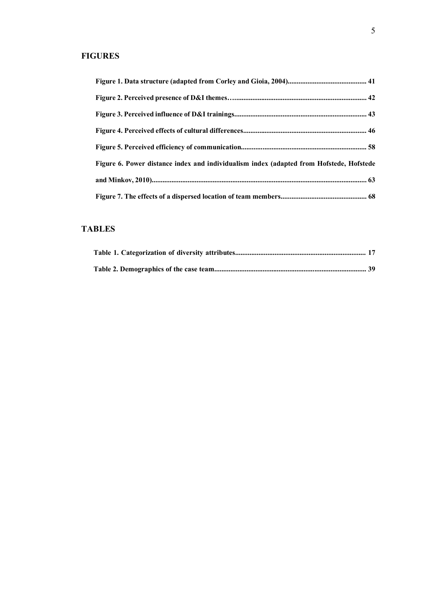# **FIGURES**

| Figure 6. Power distance index and individualism index (adapted from Hofstede, Hofstede |  |
|-----------------------------------------------------------------------------------------|--|
|                                                                                         |  |
|                                                                                         |  |

# **TABLES**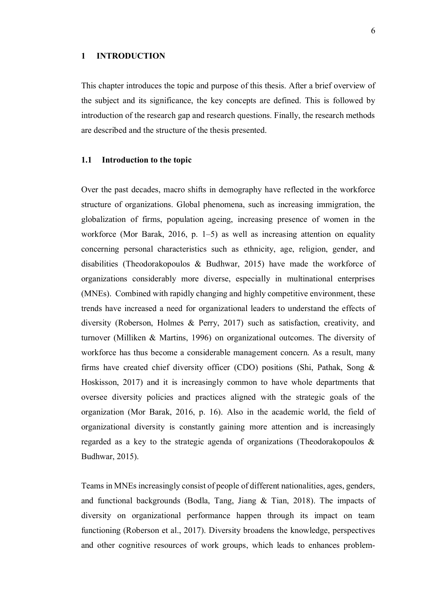### **1 INTRODUCTION**

This chapter introduces the topic and purpose of this thesis. After a brief overview of the subject and its significance, the key concepts are defined. This is followed by introduction of the research gap and research questions. Finally, the research methods are described and the structure of the thesis presented.

### **1.1 Introduction to the topic**

Over the past decades, macro shifts in demography have reflected in the workforce structure of organizations. Global phenomena, such as increasing immigration, the globalization of firms, population ageing, increasing presence of women in the workforce (Mor Barak, 2016, p. 1–5) as well as increasing attention on equality concerning personal characteristics such as ethnicity, age, religion, gender, and disabilities (Theodorakopoulos & Budhwar, 2015) have made the workforce of organizations considerably more diverse, especially in multinational enterprises (MNEs). Combined with rapidly changing and highly competitive environment, these trends have increased a need for organizational leaders to understand the effects of diversity (Roberson, Holmes & Perry, 2017) such as satisfaction, creativity, and turnover (Milliken & Martins, 1996) on organizational outcomes. The diversity of workforce has thus become a considerable management concern. As a result, many firms have created chief diversity officer (CDO) positions (Shi, Pathak, Song & Hoskisson, 2017) and it is increasingly common to have whole departments that oversee diversity policies and practices aligned with the strategic goals of the organization (Mor Barak, 2016, p. 16). Also in the academic world, the field of organizational diversity is constantly gaining more attention and is increasingly regarded as a key to the strategic agenda of organizations (Theodorakopoulos & Budhwar, 2015).

Teams in MNEs increasingly consist of people of different nationalities, ages, genders, and functional backgrounds (Bodla, Tang, Jiang & Tian, 2018). The impacts of diversity on organizational performance happen through its impact on team functioning (Roberson et al., 2017). Diversity broadens the knowledge, perspectives and other cognitive resources of work groups, which leads to enhances problem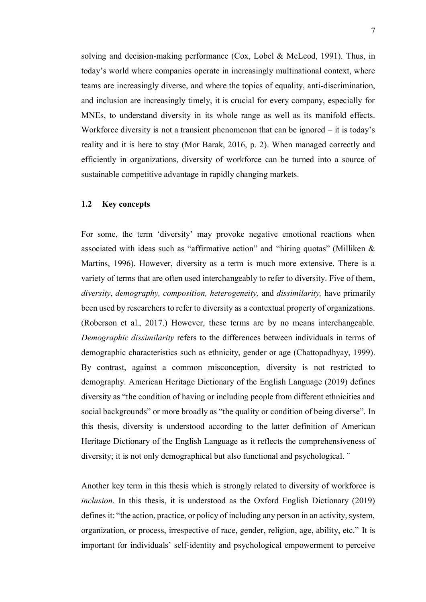solving and decision-making performance (Cox, Lobel & McLeod, 1991). Thus, in today's world where companies operate in increasingly multinational context, where teams are increasingly diverse, and where the topics of equality, anti-discrimination, and inclusion are increasingly timely, it is crucial for every company, especially for MNEs, to understand diversity in its whole range as well as its manifold effects. Workforce diversity is not a transient phenomenon that can be ignored – it is today's reality and it is here to stay (Mor Barak, 2016, p. 2). When managed correctly and efficiently in organizations, diversity of workforce can be turned into a source of sustainable competitive advantage in rapidly changing markets.

# **1.2 Key concepts**

For some, the term 'diversity' may provoke negative emotional reactions when associated with ideas such as "affirmative action" and "hiring quotas" (Milliken & Martins, 1996). However, diversity as a term is much more extensive. There is a variety of terms that are often used interchangeably to refer to diversity. Five of them, *diversity*, *demography, composition, heterogeneity,* and *dissimilarity,* have primarily been used by researchers to refer to diversity as a contextual property of organizations. (Roberson et al., 2017.) However, these terms are by no means interchangeable. *Demographic dissimilarity* refers to the differences between individuals in terms of demographic characteristics such as ethnicity, gender or age (Chattopadhyay, 1999). By contrast, against a common misconception, diversity is not restricted to demography. American Heritage Dictionary of the English Language (2019) defines diversity as "the condition of having or including people from different ethnicities and social backgrounds" or more broadly as "the quality or condition of being diverse". In this thesis, diversity is understood according to the latter definition of American Heritage Dictionary of the English Language as it reflects the comprehensiveness of diversity; it is not only demographical but also functional and psychological. ¨

Another key term in this thesis which is strongly related to diversity of workforce is *inclusion*. In this thesis, it is understood as the Oxford English Dictionary (2019) defines it: "the action, practice, or policy of including any person in an activity, system, organization, or process, irrespective of race, gender, religion, age, ability, etc." It is important for individuals' self-identity and psychological empowerment to perceive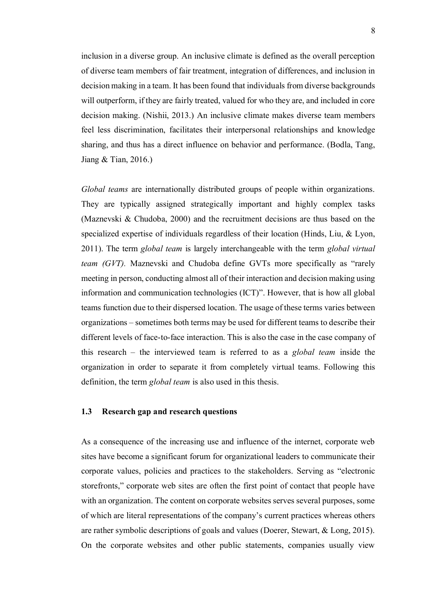inclusion in a diverse group. An inclusive climate is defined as the overall perception of diverse team members of fair treatment, integration of differences, and inclusion in decision making in a team. It has been found that individuals from diverse backgrounds will outperform, if they are fairly treated, valued for who they are, and included in core decision making. (Nishii, 2013.) An inclusive climate makes diverse team members feel less discrimination, facilitates their interpersonal relationships and knowledge sharing, and thus has a direct influence on behavior and performance. (Bodla, Tang, Jiang & Tian, 2016.)

*Global teams* are internationally distributed groups of people within organizations. They are typically assigned strategically important and highly complex tasks (Maznevski & Chudoba, 2000) and the recruitment decisions are thus based on the specialized expertise of individuals regardless of their location (Hinds, Liu, & Lyon, 2011). The term *global team* is largely interchangeable with the term *global virtual team (GVT).* Maznevski and Chudoba define GVTs more specifically as "rarely meeting in person, conducting almost all of their interaction and decision making using information and communication technologies (ICT)". However, that is how all global teams function due to their dispersed location. The usage of these terms varies between organizations – sometimes both terms may be used for different teams to describe their different levels of face-to-face interaction. This is also the case in the case company of this research – the interviewed team is referred to as a *global team* inside the organization in order to separate it from completely virtual teams. Following this definition, the term *global team* is also used in this thesis.

# **1.3 Research gap and research questions**

As a consequence of the increasing use and influence of the internet, corporate web sites have become a significant forum for organizational leaders to communicate their corporate values, policies and practices to the stakeholders. Serving as "electronic storefronts," corporate web sites are often the first point of contact that people have with an organization. The content on corporate websites serves several purposes, some of which are literal representations of the company's current practices whereas others are rather symbolic descriptions of goals and values (Doerer, Stewart, & Long, 2015). On the corporate websites and other public statements, companies usually view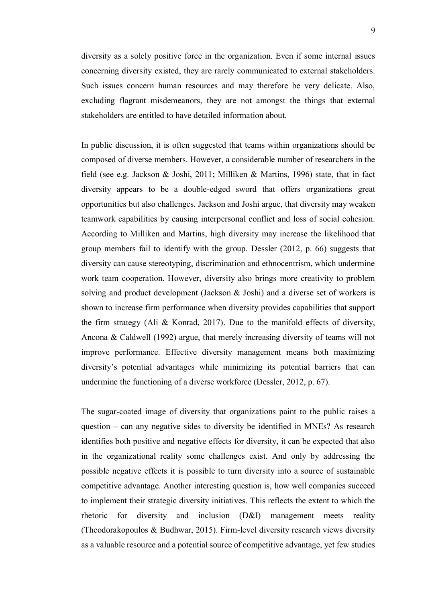diversity as a solely positive force in the organization. Even if some internal issues concerning diversity existed, they are rarely communicated to external stakeholders. Such issues concern human resources and may therefore be very delicate. Also, excluding flagrant misdemeanors, they are not amongst the things that external stakeholders are entitled to have detailed information about.

In public discussion, it is often suggested that teams within organizations should be composed of diverse members. However, a considerable number of researchers in the field (see e.g. Jackson & Joshi, 2011; Milliken & Martins, 1996) state, that in fact diversity appears to be a double-edged sword that offers organizations great opportunities but also challenges. Jackson and Joshi argue, that diversity may weaken teamwork capabilities by causing interpersonal conflict and loss of social cohesion. According to Milliken and Martins, high diversity may increase the likelihood that group members fail to identify with the group. Dessler (2012, p. 66) suggests that diversity can cause stereotyping, discrimination and ethnocentrism, which undermine work team cooperation. However, diversity also brings more creativity to problem solving and product development (Jackson & Joshi) and a diverse set of workers is shown to increase firm performance when diversity provides capabilities that support the firm strategy (Ali & Konrad, 2017). Due to the manifold effects of diversity, Ancona & Caldwell (1992) argue, that merely increasing diversity of teams will not improve performance. Effective diversity management means both maximizing diversity's potential advantages while minimizing its potential barriers that can undermine the functioning of a diverse workforce (Dessler, 2012, p. 67).

The sugar-coated image of diversity that organizations paint to the public raises a question – can any negative sides to diversity be identified in MNEs? As research identifies both positive and negative effects for diversity, it can be expected that also in the organizational reality some challenges exist. And only by addressing the possible negative effects it is possible to turn diversity into a source of sustainable competitive advantage. Another interesting question is, how well companies succeed to implement their strategic diversity initiatives. This reflects the extent to which the rhetoric for diversity and inclusion (D&I) management meets reality (Theodorakopoulos & Budhwar, 2015). Firm-level diversity research views diversity as a valuable resource and a potential source of competitive advantage, yet few studies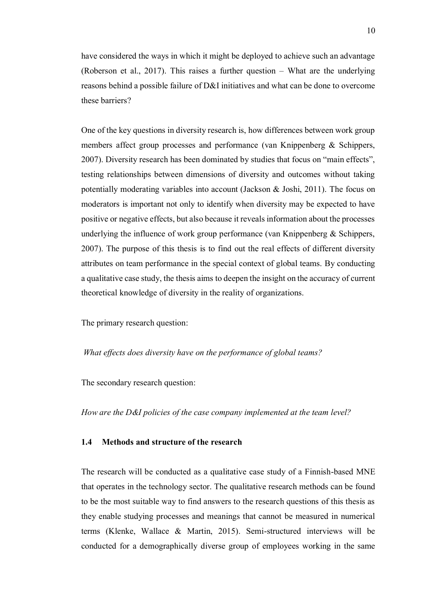have considered the ways in which it might be deployed to achieve such an advantage (Roberson et al., 2017). This raises a further question – What are the underlying reasons behind a possible failure of D&I initiatives and what can be done to overcome these barriers?

One of the key questions in diversity research is, how differences between work group members affect group processes and performance (van Knippenberg & Schippers, 2007). Diversity research has been dominated by studies that focus on "main effects", testing relationships between dimensions of diversity and outcomes without taking potentially moderating variables into account (Jackson & Joshi, 2011). The focus on moderators is important not only to identify when diversity may be expected to have positive or negative effects, but also because it reveals information about the processes underlying the influence of work group performance (van Knippenberg & Schippers, 2007). The purpose of this thesis is to find out the real effects of different diversity attributes on team performance in the special context of global teams. By conducting a qualitative case study, the thesis aims to deepen the insight on the accuracy of current theoretical knowledge of diversity in the reality of organizations.

The primary research question:

*What effects does diversity have on the performance of global teams?*

The secondary research question:

*How are the D&I policies of the case company implemented at the team level?*

# **1.4 Methods and structure of the research**

The research will be conducted as a qualitative case study of a Finnish-based MNE that operates in the technology sector. The qualitative research methods can be found to be the most suitable way to find answers to the research questions of this thesis as they enable studying processes and meanings that cannot be measured in numerical terms (Klenke, Wallace & Martin, 2015). Semi-structured interviews will be conducted for a demographically diverse group of employees working in the same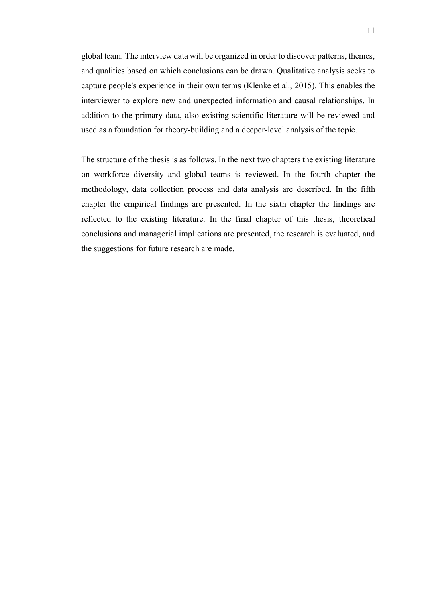global team. The interview data will be organized in order to discover patterns, themes, and qualities based on which conclusions can be drawn. Qualitative analysis seeks to capture people's experience in their own terms (Klenke et al., 2015). This enables the interviewer to explore new and unexpected information and causal relationships. In addition to the primary data, also existing scientific literature will be reviewed and used as a foundation for theory-building and a deeper-level analysis of the topic.

The structure of the thesis is as follows. In the next two chapters the existing literature on workforce diversity and global teams is reviewed. In the fourth chapter the methodology, data collection process and data analysis are described. In the fifth chapter the empirical findings are presented. In the sixth chapter the findings are reflected to the existing literature. In the final chapter of this thesis, theoretical conclusions and managerial implications are presented, the research is evaluated, and the suggestions for future research are made.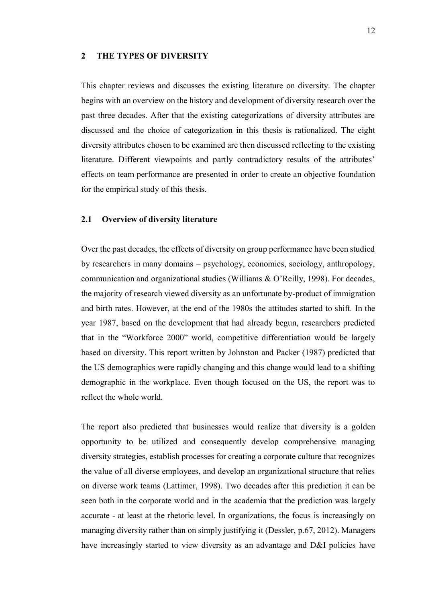#### **2 THE TYPES OF DIVERSITY**

This chapter reviews and discusses the existing literature on diversity. The chapter begins with an overview on the history and development of diversity research over the past three decades. After that the existing categorizations of diversity attributes are discussed and the choice of categorization in this thesis is rationalized. The eight diversity attributes chosen to be examined are then discussed reflecting to the existing literature. Different viewpoints and partly contradictory results of the attributes' effects on team performance are presented in order to create an objective foundation for the empirical study of this thesis.

# **2.1 Overview of diversity literature**

Over the past decades, the effects of diversity on group performance have been studied by researchers in many domains – psychology, economics, sociology, anthropology, communication and organizational studies (Williams & O'Reilly, 1998). For decades, the majority of research viewed diversity as an unfortunate by-product of immigration and birth rates. However, at the end of the 1980s the attitudes started to shift. In the year 1987, based on the development that had already begun, researchers predicted that in the "Workforce 2000" world, competitive differentiation would be largely based on diversity. This report written by Johnston and Packer (1987) predicted that the US demographics were rapidly changing and this change would lead to a shifting demographic in the workplace. Even though focused on the US, the report was to reflect the whole world.

The report also predicted that businesses would realize that diversity is a golden opportunity to be utilized and consequently develop comprehensive managing diversity strategies, establish processes for creating a corporate culture that recognizes the value of all diverse employees, and develop an organizational structure that relies on diverse work teams (Lattimer, 1998). Two decades after this prediction it can be seen both in the corporate world and in the academia that the prediction was largely accurate - at least at the rhetoric level. In organizations, the focus is increasingly on managing diversity rather than on simply justifying it (Dessler, p.67, 2012). Managers have increasingly started to view diversity as an advantage and D&I policies have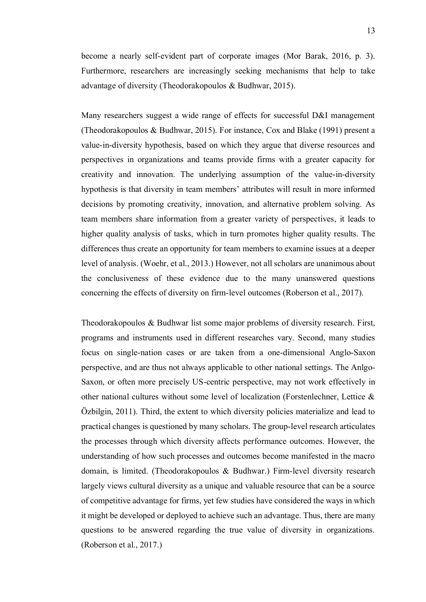become a nearly self-evident part of corporate images (Mor Barak, 2016, p. 3). Furthermore, researchers are increasingly seeking mechanisms that help to take advantage of diversity (Theodorakopoulos & Budhwar, 2015).

Many researchers suggest a wide range of effects for successful D&I management (Theodorakopoulos & Budhwar, 2015). For instance, Cox and Blake (1991) present a value-in-diversity hypothesis, based on which they argue that diverse resources and perspectives in organizations and teams provide firms with a greater capacity for creativity and innovation. The underlying assumption of the value-in-diversity hypothesis is that diversity in team members' attributes will result in more informed decisions by promoting creativity, innovation, and alternative problem solving. As team members share information from a greater variety of perspectives, it leads to higher quality analysis of tasks, which in turn promotes higher quality results. The differences thus create an opportunity for team members to examine issues at a deeper level of analysis. (Woehr, et al., 2013.) However, not all scholars are unanimous about the conclusiveness of these evidence due to the many unanswered questions concerning the effects of diversity on firm-level outcomes (Roberson et al., 2017).

Theodorakopoulos & Budhwar list some major problems of diversity research. First, programs and instruments used in different researches vary. Second, many studies focus on single-nation cases or are taken from a one-dimensional Anglo-Saxon perspective, and are thus not always applicable to other national settings. The Anlgo-Saxon, or often more precisely US-centric perspective, may not work effectively in other national cultures without some level of localization (Forstenlechner, Lettice & Özbilgin, 2011). Third, the extent to which diversity policies materialize and lead to practical changes is questioned by many scholars. The group-level research articulates the processes through which diversity affects performance outcomes. However, the understanding of how such processes and outcomes become manifested in the macro domain, is limited. (Theodorakopoulos & Budhwar.) Firm-level diversity research largely views cultural diversity as a unique and valuable resource that can be a source of competitive advantage for firms, yet few studies have considered the ways in which it might be developed or deployed to achieve such an advantage. Thus, there are many questions to be answered regarding the true value of diversity in organizations. (Roberson et al., 2017.)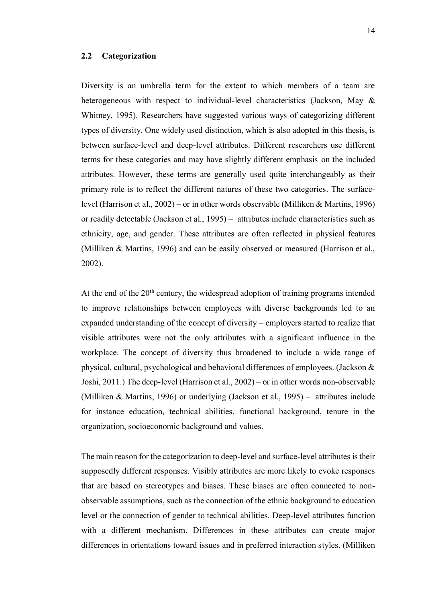### **2.2 Categorization**

Diversity is an umbrella term for the extent to which members of a team are heterogeneous with respect to individual-level characteristics (Jackson, May & Whitney, 1995). Researchers have suggested various ways of categorizing different types of diversity. One widely used distinction, which is also adopted in this thesis, is between surface-level and deep-level attributes. Different researchers use different terms for these categories and may have slightly different emphasis on the included attributes. However, these terms are generally used quite interchangeably as their primary role is to reflect the different natures of these two categories. The surfacelevel (Harrison et al., 2002) – or in other words observable (Milliken & Martins, 1996) or readily detectable (Jackson et al., 1995) – attributes include characteristics such as ethnicity, age, and gender. These attributes are often reflected in physical features (Milliken & Martins, 1996) and can be easily observed or measured (Harrison et al., 2002).

At the end of the 20<sup>th</sup> century, the widespread adoption of training programs intended to improve relationships between employees with diverse backgrounds led to an expanded understanding of the concept of diversity – employers started to realize that visible attributes were not the only attributes with a significant influence in the workplace. The concept of diversity thus broadened to include a wide range of physical, cultural, psychological and behavioral differences of employees. (Jackson  $\&$ Joshi, 2011.) The deep-level (Harrison et al., 2002) – or in other words non-observable (Milliken & Martins, 1996) or underlying (Jackson et al., 1995) – attributes include for instance education, technical abilities, functional background, tenure in the organization, socioeconomic background and values.

The main reason for the categorization to deep-level and surface-level attributes is their supposedly different responses. Visibly attributes are more likely to evoke responses that are based on stereotypes and biases. These biases are often connected to nonobservable assumptions, such as the connection of the ethnic background to education level or the connection of gender to technical abilities. Deep-level attributes function with a different mechanism. Differences in these attributes can create major differences in orientations toward issues and in preferred interaction styles. (Milliken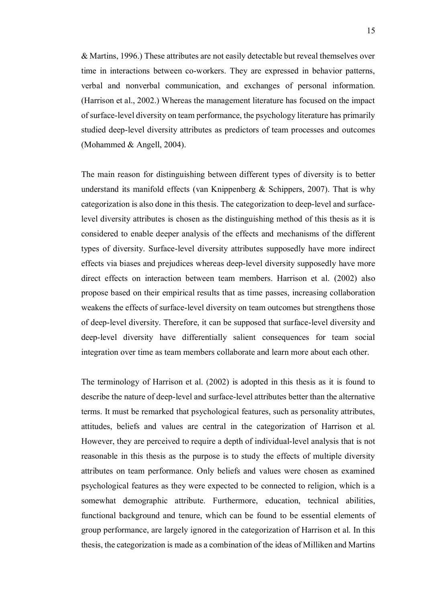& Martins, 1996.) These attributes are not easily detectable but reveal themselves over time in interactions between co-workers. They are expressed in behavior patterns, verbal and nonverbal communication, and exchanges of personal information. (Harrison et al., 2002.) Whereas the management literature has focused on the impact of surface-level diversity on team performance, the psychology literature has primarily studied deep-level diversity attributes as predictors of team processes and outcomes (Mohammed & Angell, 2004).

The main reason for distinguishing between different types of diversity is to better understand its manifold effects (van Knippenberg  $\&$  Schippers, 2007). That is why categorization is also done in this thesis. The categorization to deep-level and surfacelevel diversity attributes is chosen as the distinguishing method of this thesis as it is considered to enable deeper analysis of the effects and mechanisms of the different types of diversity. Surface-level diversity attributes supposedly have more indirect effects via biases and prejudices whereas deep-level diversity supposedly have more direct effects on interaction between team members. Harrison et al. (2002) also propose based on their empirical results that as time passes, increasing collaboration weakens the effects of surface-level diversity on team outcomes but strengthens those of deep-level diversity. Therefore, it can be supposed that surface-level diversity and deep-level diversity have differentially salient consequences for team social integration over time as team members collaborate and learn more about each other.

The terminology of Harrison et al. (2002) is adopted in this thesis as it is found to describe the nature of deep-level and surface-level attributes better than the alternative terms. It must be remarked that psychological features, such as personality attributes, attitudes, beliefs and values are central in the categorization of Harrison et al. However, they are perceived to require a depth of individual-level analysis that is not reasonable in this thesis as the purpose is to study the effects of multiple diversity attributes on team performance. Only beliefs and values were chosen as examined psychological features as they were expected to be connected to religion, which is a somewhat demographic attribute. Furthermore, education, technical abilities, functional background and tenure, which can be found to be essential elements of group performance, are largely ignored in the categorization of Harrison et al. In this thesis, the categorization is made as a combination of the ideas of Milliken and Martins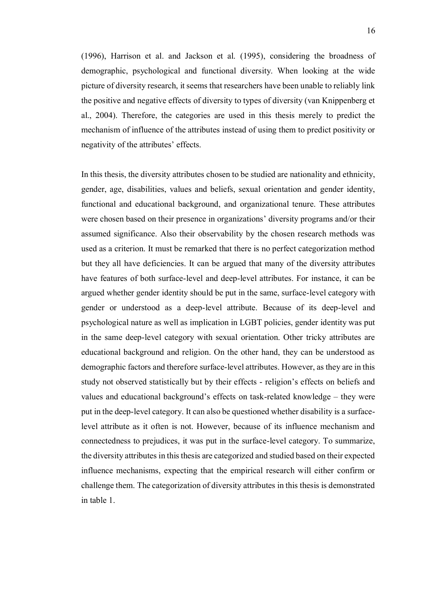(1996), Harrison et al. and Jackson et al. (1995), considering the broadness of demographic, psychological and functional diversity. When looking at the wide picture of diversity research, it seems that researchers have been unable to reliably link the positive and negative effects of diversity to types of diversity (van Knippenberg et al., 2004). Therefore, the categories are used in this thesis merely to predict the mechanism of influence of the attributes instead of using them to predict positivity or negativity of the attributes' effects.

In this thesis, the diversity attributes chosen to be studied are nationality and ethnicity, gender, age, disabilities, values and beliefs, sexual orientation and gender identity, functional and educational background, and organizational tenure. These attributes were chosen based on their presence in organizations' diversity programs and/or their assumed significance. Also their observability by the chosen research methods was used as a criterion. It must be remarked that there is no perfect categorization method but they all have deficiencies. It can be argued that many of the diversity attributes have features of both surface-level and deep-level attributes. For instance, it can be argued whether gender identity should be put in the same, surface-level category with gender or understood as a deep-level attribute. Because of its deep-level and psychological nature as well as implication in LGBT policies, gender identity was put in the same deep-level category with sexual orientation. Other tricky attributes are educational background and religion. On the other hand, they can be understood as demographic factors and therefore surface-level attributes. However, as they are in this study not observed statistically but by their effects - religion's effects on beliefs and values and educational background's effects on task-related knowledge – they were put in the deep-level category. It can also be questioned whether disability is a surfacelevel attribute as it often is not. However, because of its influence mechanism and connectedness to prejudices, it was put in the surface-level category. To summarize, the diversity attributes in this thesis are categorized and studied based on their expected influence mechanisms, expecting that the empirical research will either confirm or challenge them. The categorization of diversity attributes in this thesis is demonstrated in table 1.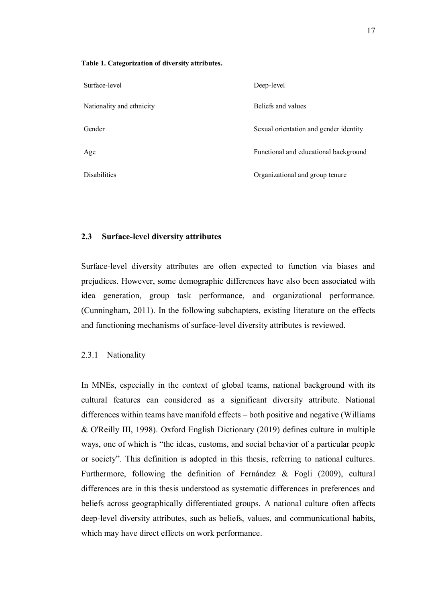| Surface-level             | Deep-level                             |
|---------------------------|----------------------------------------|
| Nationality and ethnicity | Beliefs and values                     |
| Gender                    | Sexual orientation and gender identity |
| Age                       | Functional and educational background  |
| <b>Disabilities</b>       | Organizational and group tenure        |

**Table 1. Categorization of diversity attributes.**

# **2.3 Surface-level diversity attributes**

Surface-level diversity attributes are often expected to function via biases and prejudices. However, some demographic differences have also been associated with idea generation, group task performance, and organizational performance. (Cunningham, 2011). In the following subchapters, existing literature on the effects and functioning mechanisms of surface-level diversity attributes is reviewed.

# 2.3.1 Nationality

In MNEs, especially in the context of global teams, national background with its cultural features can considered as a significant diversity attribute. National differences within teams have manifold effects – both positive and negative (Williams & O'Reilly III, 1998). Oxford English Dictionary (2019) defines culture in multiple ways, one of which is "the ideas, customs, and social behavior of a particular people or society". This definition is adopted in this thesis, referring to national cultures. Furthermore, following the definition of Fernández & Fogli (2009), cultural differences are in this thesis understood as systematic differences in preferences and beliefs across geographically differentiated groups. A national culture often affects deep-level diversity attributes, such as beliefs, values, and communicational habits, which may have direct effects on work performance.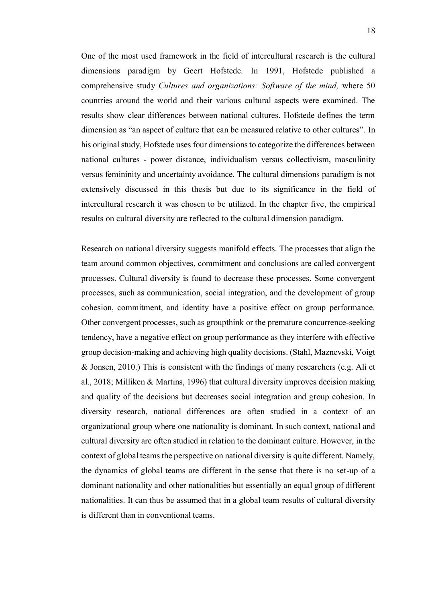One of the most used framework in the field of intercultural research is the cultural dimensions paradigm by Geert Hofstede. In 1991, Hofstede published a comprehensive study *Cultures and organizations: Software of the mind,* where 50 countries around the world and their various cultural aspects were examined. The results show clear differences between national cultures. Hofstede defines the term dimension as "an aspect of culture that can be measured relative to other cultures". In his original study, Hofstede uses four dimensions to categorize the differences between national cultures - power distance, individualism versus collectivism, masculinity versus femininity and uncertainty avoidance. The cultural dimensions paradigm is not extensively discussed in this thesis but due to its significance in the field of intercultural research it was chosen to be utilized. In the chapter five, the empirical results on cultural diversity are reflected to the cultural dimension paradigm.

Research on national diversity suggests manifold effects. The processes that align the team around common objectives, commitment and conclusions are called convergent processes. Cultural diversity is found to decrease these processes. Some convergent processes, such as communication, social integration, and the development of group cohesion, commitment, and identity have a positive effect on group performance. Other convergent processes, such as groupthink or the premature concurrence-seeking tendency, have a negative effect on group performance as they interfere with effective group decision-making and achieving high quality decisions. (Stahl, Maznevski, Voigt & Jonsen, 2010.) This is consistent with the findings of many researchers (e.g. Ali et al., 2018; Milliken & Martins, 1996) that cultural diversity improves decision making and quality of the decisions but decreases social integration and group cohesion. In diversity research, national differences are often studied in a context of an organizational group where one nationality is dominant. In such context, national and cultural diversity are often studied in relation to the dominant culture. However, in the context of global teams the perspective on national diversity is quite different. Namely, the dynamics of global teams are different in the sense that there is no set-up of a dominant nationality and other nationalities but essentially an equal group of different nationalities. It can thus be assumed that in a global team results of cultural diversity is different than in conventional teams.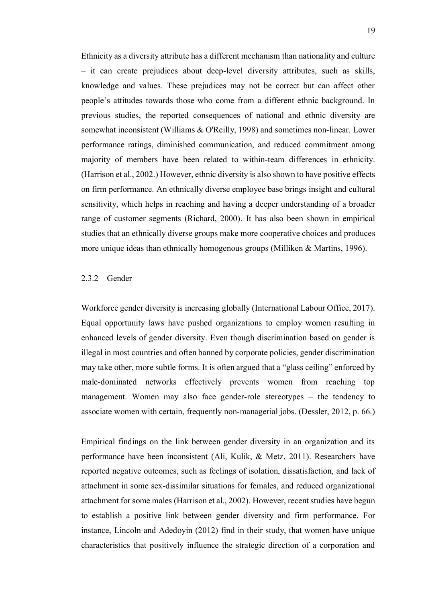Ethnicity as a diversity attribute has a different mechanism than nationality and culture – it can create prejudices about deep-level diversity attributes, such as skills, knowledge and values. These prejudices may not be correct but can affect other people's attitudes towards those who come from a different ethnic background. In previous studies, the reported consequences of national and ethnic diversity are somewhat inconsistent (Williams & O'Reilly, 1998) and sometimes non-linear. Lower performance ratings, diminished communication, and reduced commitment among majority of members have been related to within-team differences in ethnicity. (Harrison et al., 2002.) However, ethnic diversity is also shown to have positive effects on firm performance. An ethnically diverse employee base brings insight and cultural sensitivity, which helps in reaching and having a deeper understanding of a broader range of customer segments (Richard, 2000). It has also been shown in empirical studies that an ethnically diverse groups make more cooperative choices and produces more unique ideas than ethnically homogenous groups (Milliken & Martins, 1996).

# 2.3.2 Gender

Workforce gender diversity is increasing globally (International Labour Office, 2017). Equal opportunity laws have pushed organizations to employ women resulting in enhanced levels of gender diversity. Even though discrimination based on gender is illegal in most countries and often banned by corporate policies, gender discrimination may take other, more subtle forms. It is often argued that a "glass ceiling" enforced by male-dominated networks effectively prevents women from reaching top management. Women may also face gender-role stereotypes – the tendency to associate women with certain, frequently non-managerial jobs. (Dessler, 2012, p. 66.)

Empirical findings on the link between gender diversity in an organization and its performance have been inconsistent (Ali, Kulik, & Metz, 2011). Researchers have reported negative outcomes, such as feelings of isolation, dissatisfaction, and lack of attachment in some sex-dissimilar situations for females, and reduced organizational attachment for some males (Harrison et al., 2002). However, recent studies have begun to establish a positive link between gender diversity and firm performance. For instance, Lincoln and Adedoyin (2012) find in their study, that women have unique characteristics that positively influence the strategic direction of a corporation and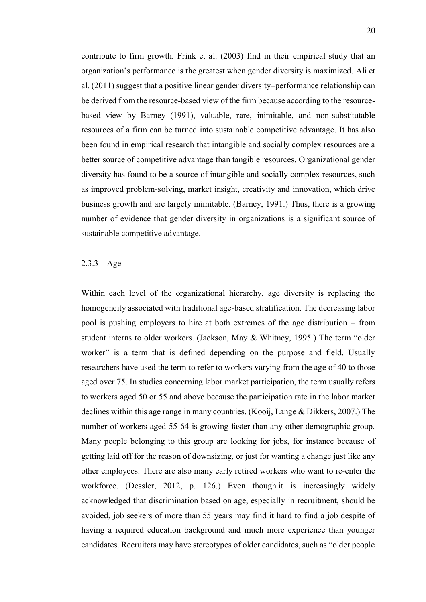contribute to firm growth. Frink et al. (2003) find in their empirical study that an organization's performance is the greatest when gender diversity is maximized. Ali et al. (2011) suggest that a positive linear gender diversity–performance relationship can be derived from the resource-based view of the firm because according to the resourcebased view by Barney (1991), valuable, rare, inimitable, and non-substitutable resources of a firm can be turned into sustainable competitive advantage. It has also been found in empirical research that intangible and socially complex resources are a better source of competitive advantage than tangible resources. Organizational gender diversity has found to be a source of intangible and socially complex resources, such as improved problem-solving, market insight, creativity and innovation, which drive business growth and are largely inimitable. (Barney, 1991.) Thus, there is a growing number of evidence that gender diversity in organizations is a significant source of sustainable competitive advantage.

# 2.3.3 Age

Within each level of the organizational hierarchy, age diversity is replacing the homogeneity associated with traditional age-based stratification. The decreasing labor pool is pushing employers to hire at both extremes of the age distribution – from student interns to older workers. (Jackson, May & Whitney, 1995.) The term "older worker" is a term that is defined depending on the purpose and field. Usually researchers have used the term to refer to workers varying from the age of 40 to those aged over 75. In studies concerning labor market participation, the term usually refers to workers aged 50 or 55 and above because the participation rate in the labor market declines within this age range in many countries. (Kooij, Lange & Dikkers, 2007.) The number of workers aged 55-64 is growing faster than any other demographic group. Many people belonging to this group are looking for jobs, for instance because of getting laid off for the reason of downsizing, or just for wanting a change just like any other employees. There are also many early retired workers who want to re-enter the workforce. (Dessler, 2012, p. 126.) Even though it is increasingly widely acknowledged that discrimination based on age, especially in recruitment, should be avoided, job seekers of more than 55 years may find it hard to find a job despite of having a required education background and much more experience than younger candidates. Recruiters may have stereotypes of older candidates, such as "older people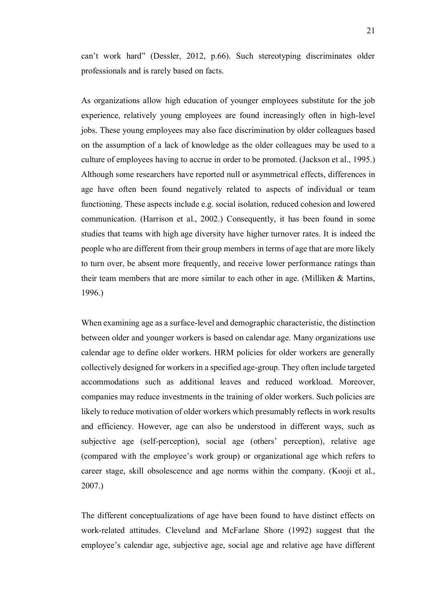can't work hard" (Dessler, 2012, p.66). Such stereotyping discriminates older professionals and is rarely based on facts.

As organizations allow high education of younger employees substitute for the job experience, relatively young employees are found increasingly often in high-level jobs. These young employees may also face discrimination by older colleagues based on the assumption of a lack of knowledge as the older colleagues may be used to a culture of employees having to accrue in order to be promoted. (Jackson et al., 1995.) Although some researchers have reported null or asymmetrical effects, differences in age have often been found negatively related to aspects of individual or team functioning. These aspects include e.g. social isolation, reduced cohesion and lowered communication. (Harrison et al., 2002.) Consequently, it has been found in some studies that teams with high age diversity have higher turnover rates. It is indeed the people who are different from their group members in terms of age that are more likely to turn over, be absent more frequently, and receive lower performance ratings than their team members that are more similar to each other in age. (Milliken  $&$  Martins, 1996.)

When examining age as a surface-level and demographic characteristic, the distinction between older and younger workers is based on calendar age. Many organizations use calendar age to define older workers. HRM policies for older workers are generally collectively designed for workers in a specified age-group. They often include targeted accommodations such as additional leaves and reduced workload. Moreover, companies may reduce investments in the training of older workers. Such policies are likely to reduce motivation of older workers which presumably reflects in work results and efficiency. However, age can also be understood in different ways, such as subjective age (self-perception), social age (others' perception), relative age (compared with the employee's work group) or organizational age which refers to career stage, skill obsolescence and age norms within the company. (Kooji et al., 2007.)

The different conceptualizations of age have been found to have distinct effects on work-related attitudes. Cleveland and McFarlane Shore (1992) suggest that the employee's calendar age, subjective age, social age and relative age have different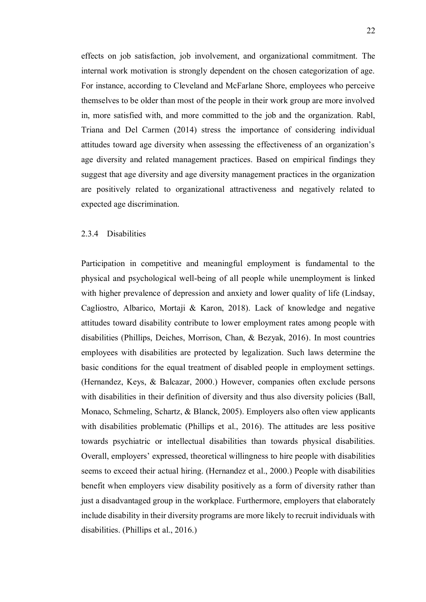effects on job satisfaction, job involvement, and organizational commitment. The internal work motivation is strongly dependent on the chosen categorization of age. For instance, according to Cleveland and McFarlane Shore, employees who perceive themselves to be older than most of the people in their work group are more involved in, more satisfied with, and more committed to the job and the organization. Rabl, Triana and Del Carmen (2014) stress the importance of considering individual attitudes toward age diversity when assessing the effectiveness of an organization's age diversity and related management practices. Based on empirical findings they suggest that age diversity and age diversity management practices in the organization are positively related to organizational attractiveness and negatively related to expected age discrimination.

# 2.3.4 Disabilities

Participation in competitive and meaningful employment is fundamental to the physical and psychological well-being of all people while unemployment is linked with higher prevalence of depression and anxiety and lower quality of life (Lindsay, Cagliostro, Albarico, Mortaji & Karon, 2018). Lack of knowledge and negative attitudes toward disability contribute to lower employment rates among people with disabilities (Phillips, Deiches, Morrison, Chan, & Bezyak, 2016). In most countries employees with disabilities are protected by legalization. Such laws determine the basic conditions for the equal treatment of disabled people in employment settings. (Hernandez, Keys, & Balcazar, 2000.) However, companies often exclude persons with disabilities in their definition of diversity and thus also diversity policies (Ball, Monaco, Schmeling, Schartz, & Blanck, 2005). Employers also often view applicants with disabilities problematic (Phillips et al., 2016). The attitudes are less positive towards psychiatric or intellectual disabilities than towards physical disabilities. Overall, employers' expressed, theoretical willingness to hire people with disabilities seems to exceed their actual hiring. (Hernandez et al., 2000.) People with disabilities benefit when employers view disability positively as a form of diversity rather than just a disadvantaged group in the workplace. Furthermore, employers that elaborately include disability in their diversity programs are more likely to recruit individuals with disabilities. (Phillips et al., 2016.)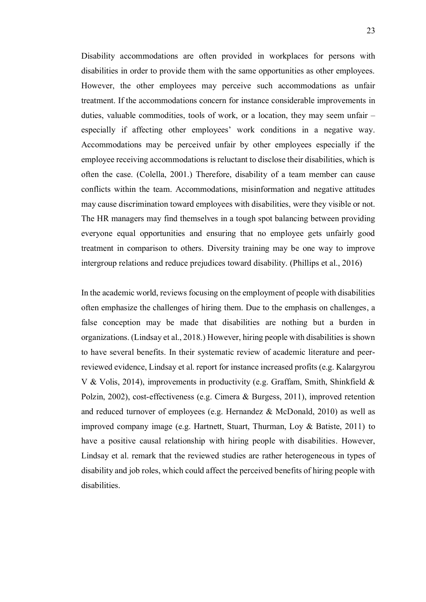Disability accommodations are often provided in workplaces for persons with disabilities in order to provide them with the same opportunities as other employees. However, the other employees may perceive such accommodations as unfair treatment. If the accommodations concern for instance considerable improvements in duties, valuable commodities, tools of work, or a location, they may seem unfair – especially if affecting other employees' work conditions in a negative way. Accommodations may be perceived unfair by other employees especially if the employee receiving accommodations is reluctant to disclose their disabilities, which is often the case. (Colella, 2001.) Therefore, disability of a team member can cause conflicts within the team. Accommodations, misinformation and negative attitudes may cause discrimination toward employees with disabilities, were they visible or not. The HR managers may find themselves in a tough spot balancing between providing everyone equal opportunities and ensuring that no employee gets unfairly good treatment in comparison to others. Diversity training may be one way to improve intergroup relations and reduce prejudices toward disability. (Phillips et al., 2016)

In the academic world, reviews focusing on the employment of people with disabilities often emphasize the challenges of hiring them. Due to the emphasis on challenges, a false conception may be made that disabilities are nothing but a burden in organizations. (Lindsay et al., 2018.) However, hiring people with disabilities is shown to have several benefits. In their systematic review of academic literature and peerreviewed evidence, Lindsay et al. report for instance increased profits (e.g. Kalargyrou V & Volis, 2014), improvements in productivity (e.g. Graffam, Smith, Shinkfield & Polzin, 2002), cost-effectiveness (e.g. Cimera & Burgess, 2011), improved retention and reduced turnover of employees (e.g. Hernandez & McDonald, 2010) as well as improved company image (e.g. Hartnett, Stuart, Thurman, Loy & Batiste, 2011) to have a positive causal relationship with hiring people with disabilities. However, Lindsay et al. remark that the reviewed studies are rather heterogeneous in types of disability and job roles, which could affect the perceived benefits of hiring people with disabilities.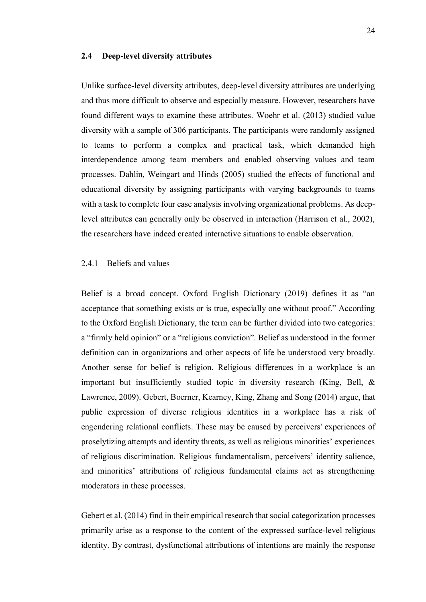#### **2.4 Deep-level diversity attributes**

Unlike surface-level diversity attributes, deep-level diversity attributes are underlying and thus more difficult to observe and especially measure. However, researchers have found different ways to examine these attributes. Woehr et al. (2013) studied value diversity with a sample of 306 participants. The participants were randomly assigned to teams to perform a complex and practical task, which demanded high interdependence among team members and enabled observing values and team processes. Dahlin, Weingart and Hinds (2005) studied the effects of functional and educational diversity by assigning participants with varying backgrounds to teams with a task to complete four case analysis involving organizational problems. As deeplevel attributes can generally only be observed in interaction (Harrison et al., 2002), the researchers have indeed created interactive situations to enable observation.

# 2.4.1 Beliefs and values

Belief is a broad concept. Oxford English Dictionary (2019) defines it as "an acceptance that something exists or is true, especially one without proof." According to the Oxford English Dictionary, the term can be further divided into two categories: a "firmly held opinion" or a "religious conviction". Belief as understood in the former definition can in organizations and other aspects of life be understood very broadly. Another sense for belief is religion. Religious differences in a workplace is an important but insufficiently studied topic in diversity research (King, Bell, & Lawrence, 2009). Gebert, Boerner, Kearney, King, Zhang and Song (2014) argue, that public expression of diverse religious identities in a workplace has a risk of engendering relational conflicts. These may be caused by perceivers' experiences of proselytizing attempts and identity threats, as well as religious minorities' experiences of religious discrimination. Religious fundamentalism, perceivers' identity salience, and minorities' attributions of religious fundamental claims act as strengthening moderators in these processes.

Gebert et al. (2014) find in their empirical research that social categorization processes primarily arise as a response to the content of the expressed surface-level religious identity. By contrast, dysfunctional attributions of intentions are mainly the response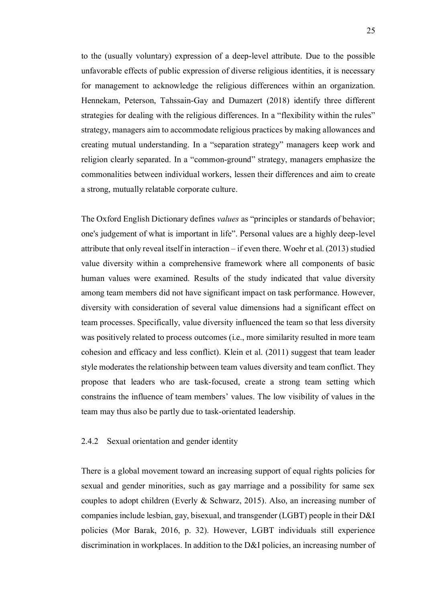to the (usually voluntary) expression of a deep-level attribute. Due to the possible unfavorable effects of public expression of diverse religious identities, it is necessary for management to acknowledge the religious differences within an organization. Hennekam, Peterson, Tahssain-Gay and Dumazert (2018) identify three different strategies for dealing with the religious differences. In a "flexibility within the rules" strategy, managers aim to accommodate religious practices by making allowances and creating mutual understanding. In a "separation strategy" managers keep work and religion clearly separated. In a "common-ground" strategy, managers emphasize the commonalities between individual workers, lessen their differences and aim to create a strong, mutually relatable corporate culture.

The Oxford English Dictionary defines *values* as "principles or standards of behavior; one's judgement of what is important in life". Personal values are a highly deep-level attribute that only reveal itself in interaction – if even there. Woehr et al. (2013) studied value diversity within a comprehensive framework where all components of basic human values were examined. Results of the study indicated that value diversity among team members did not have significant impact on task performance. However, diversity with consideration of several value dimensions had a significant effect on team processes. Specifically, value diversity influenced the team so that less diversity was positively related to process outcomes (i.e., more similarity resulted in more team cohesion and efficacy and less conflict). Klein et al. (2011) suggest that team leader style moderates the relationship between team values diversity and team conflict. They propose that leaders who are task-focused, create a strong team setting which constrains the influence of team members' values. The low visibility of values in the team may thus also be partly due to task-orientated leadership.

### 2.4.2 Sexual orientation and gender identity

There is a global movement toward an increasing support of equal rights policies for sexual and gender minorities, such as gay marriage and a possibility for same sex couples to adopt children (Everly & Schwarz, 2015). Also, an increasing number of companies include lesbian, gay, bisexual, and transgender (LGBT) people in their D&I policies (Mor Barak, 2016, p. 32). However, LGBT individuals still experience discrimination in workplaces. In addition to the D&I policies, an increasing number of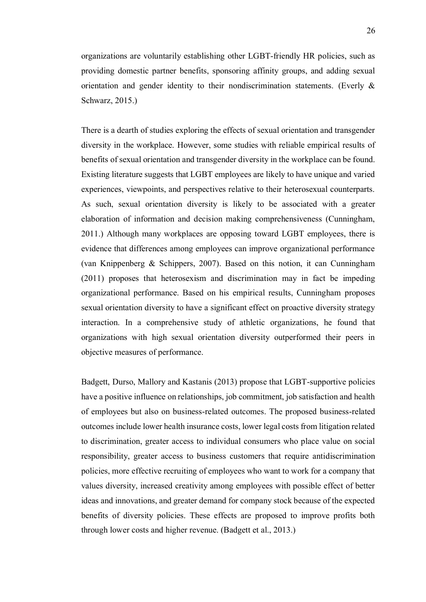organizations are voluntarily establishing other LGBT-friendly HR policies, such as providing domestic partner benefits, sponsoring affinity groups, and adding sexual orientation and gender identity to their nondiscrimination statements. (Everly  $\&$ Schwarz, 2015.)

There is a dearth of studies exploring the effects of sexual orientation and transgender diversity in the workplace. However, some studies with reliable empirical results of benefits of sexual orientation and transgender diversity in the workplace can be found. Existing literature suggests that LGBT employees are likely to have unique and varied experiences, viewpoints, and perspectives relative to their heterosexual counterparts. As such, sexual orientation diversity is likely to be associated with a greater elaboration of information and decision making comprehensiveness (Cunningham, 2011.) Although many workplaces are opposing toward LGBT employees, there is evidence that differences among employees can improve organizational performance (van Knippenberg & Schippers, 2007). Based on this notion, it can Cunningham (2011) proposes that heterosexism and discrimination may in fact be impeding organizational performance. Based on his empirical results, Cunningham proposes sexual orientation diversity to have a significant effect on proactive diversity strategy interaction. In a comprehensive study of athletic organizations, he found that organizations with high sexual orientation diversity outperformed their peers in objective measures of performance.

Badgett, Durso, Mallory and Kastanis (2013) propose that LGBT-supportive policies have a positive influence on relationships, job commitment, job satisfaction and health of employees but also on business-related outcomes. The proposed business-related outcomes include lower health insurance costs, lower legal costs from litigation related to discrimination, greater access to individual consumers who place value on social responsibility, greater access to business customers that require antidiscrimination policies, more effective recruiting of employees who want to work for a company that values diversity, increased creativity among employees with possible effect of better ideas and innovations, and greater demand for company stock because of the expected benefits of diversity policies. These effects are proposed to improve profits both through lower costs and higher revenue. (Badgett et al., 2013.)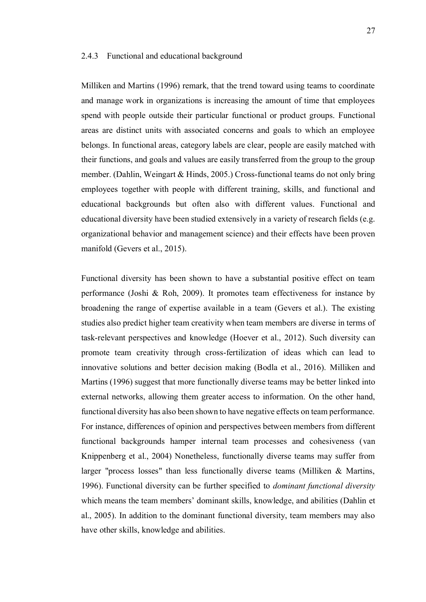#### 2.4.3 Functional and educational background

Milliken and Martins (1996) remark, that the trend toward using teams to coordinate and manage work in organizations is increasing the amount of time that employees spend with people outside their particular functional or product groups. Functional areas are distinct units with associated concerns and goals to which an employee belongs. In functional areas, category labels are clear, people are easily matched with their functions, and goals and values are easily transferred from the group to the group member. (Dahlin, Weingart & Hinds, 2005.) Cross-functional teams do not only bring employees together with people with different training, skills, and functional and educational backgrounds but often also with different values. Functional and educational diversity have been studied extensively in a variety of research fields (e.g. organizational behavior and management science) and their effects have been proven manifold (Gevers et al., 2015).

Functional diversity has been shown to have a substantial positive effect on team performance (Joshi & Roh, 2009). It promotes team effectiveness for instance by broadening the range of expertise available in a team (Gevers et al.). The existing studies also predict higher team creativity when team members are diverse in terms of task-relevant perspectives and knowledge (Hoever et al., 2012). Such diversity can promote team creativity through cross-fertilization of ideas which can lead to innovative solutions and better decision making (Bodla et al., 2016). Milliken and Martins (1996) suggest that more functionally diverse teams may be better linked into external networks, allowing them greater access to information. On the other hand, functional diversity has also been shown to have negative effects on team performance. For instance, differences of opinion and perspectives between members from different functional backgrounds hamper internal team processes and cohesiveness (van Knippenberg et al., 2004) Nonetheless, functionally diverse teams may suffer from larger "process losses" than less functionally diverse teams (Milliken & Martins, 1996). Functional diversity can be further specified to *dominant functional diversity* which means the team members' dominant skills, knowledge, and abilities (Dahlin et al., 2005). In addition to the dominant functional diversity, team members may also have other skills, knowledge and abilities.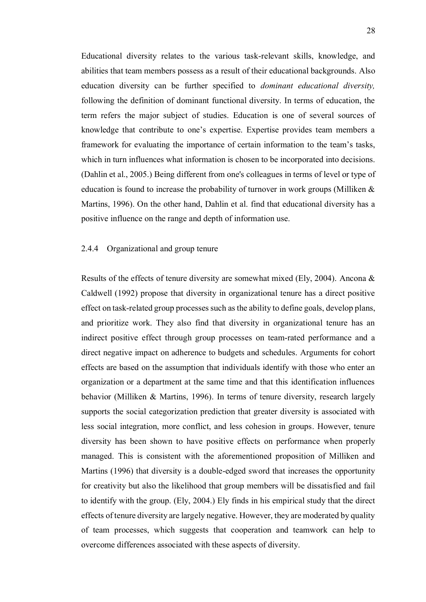Educational diversity relates to the various task-relevant skills, knowledge, and abilities that team members possess as a result of their educational backgrounds. Also education diversity can be further specified to *dominant educational diversity,*  following the definition of dominant functional diversity. In terms of education, the term refers the major subject of studies. Education is one of several sources of knowledge that contribute to one's expertise. Expertise provides team members a framework for evaluating the importance of certain information to the team's tasks, which in turn influences what information is chosen to be incorporated into decisions. (Dahlin et al., 2005.) Being different from one's colleagues in terms of level or type of education is found to increase the probability of turnover in work groups (Milliken & Martins, 1996). On the other hand, Dahlin et al. find that educational diversity has a positive influence on the range and depth of information use.

## 2.4.4 Organizational and group tenure

Results of the effects of tenure diversity are somewhat mixed (Ely, 2004). Ancona & Caldwell (1992) propose that diversity in organizational tenure has a direct positive effect on task-related group processes such as the ability to define goals, develop plans, and prioritize work. They also find that diversity in organizational tenure has an indirect positive effect through group processes on team-rated performance and a direct negative impact on adherence to budgets and schedules. Arguments for cohort effects are based on the assumption that individuals identify with those who enter an organization or a department at the same time and that this identification influences behavior (Milliken & Martins, 1996). In terms of tenure diversity, research largely supports the social categorization prediction that greater diversity is associated with less social integration, more conflict, and less cohesion in groups. However, tenure diversity has been shown to have positive effects on performance when properly managed. This is consistent with the aforementioned proposition of Milliken and Martins (1996) that diversity is a double-edged sword that increases the opportunity for creativity but also the likelihood that group members will be dissatisfied and fail to identify with the group. (Ely, 2004.) Ely finds in his empirical study that the direct effects of tenure diversity are largely negative. However, they are moderated by quality of team processes, which suggests that cooperation and teamwork can help to overcome differences associated with these aspects of diversity.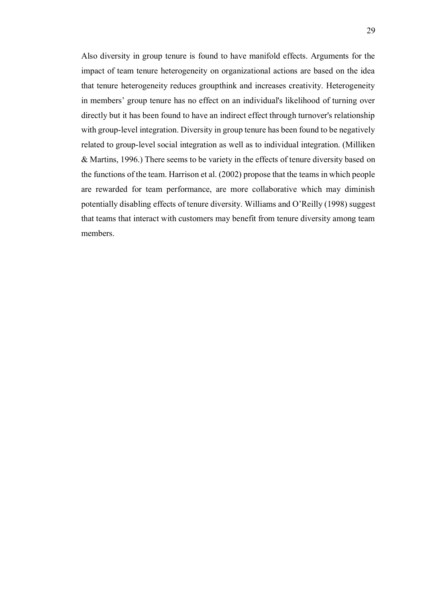Also diversity in group tenure is found to have manifold effects. Arguments for the impact of team tenure heterogeneity on organizational actions are based on the idea that tenure heterogeneity reduces groupthink and increases creativity. Heterogeneity in members' group tenure has no effect on an individual's likelihood of turning over directly but it has been found to have an indirect effect through turnover's relationship with group-level integration. Diversity in group tenure has been found to be negatively related to group-level social integration as well as to individual integration. (Milliken & Martins, 1996.) There seems to be variety in the effects of tenure diversity based on the functions of the team. Harrison et al. (2002) propose that the teams in which people are rewarded for team performance, are more collaborative which may diminish potentially disabling effects of tenure diversity. Williams and O'Reilly (1998) suggest that teams that interact with customers may benefit from tenure diversity among team members.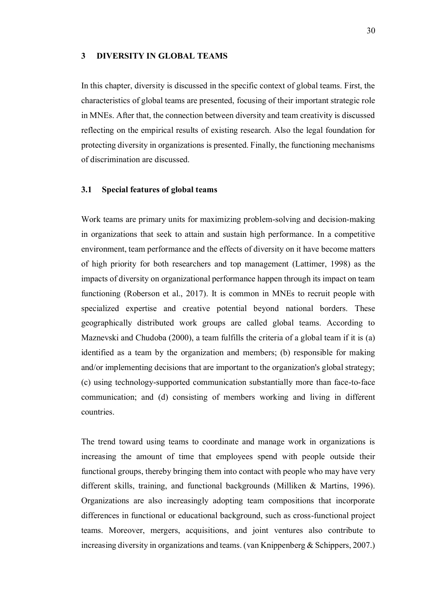#### **3 DIVERSITY IN GLOBAL TEAMS**

In this chapter, diversity is discussed in the specific context of global teams. First, the characteristics of global teams are presented, focusing of their important strategic role in MNEs. After that, the connection between diversity and team creativity is discussed reflecting on the empirical results of existing research. Also the legal foundation for protecting diversity in organizations is presented. Finally, the functioning mechanisms of discrimination are discussed.

# **3.1 Special features of global teams**

Work teams are primary units for maximizing problem-solving and decision-making in organizations that seek to attain and sustain high performance. In a competitive environment, team performance and the effects of diversity on it have become matters of high priority for both researchers and top management (Lattimer, 1998) as the impacts of diversity on organizational performance happen through its impact on team functioning (Roberson et al., 2017). It is common in MNEs to recruit people with specialized expertise and creative potential beyond national borders. These geographically distributed work groups are called global teams. According to Maznevski and Chudoba (2000), a team fulfills the criteria of a global team if it is (a) identified as a team by the organization and members; (b) responsible for making and/or implementing decisions that are important to the organization's global strategy; (c) using technology-supported communication substantially more than face-to-face communication; and (d) consisting of members working and living in different countries.

The trend toward using teams to coordinate and manage work in organizations is increasing the amount of time that employees spend with people outside their functional groups, thereby bringing them into contact with people who may have very different skills, training, and functional backgrounds (Milliken & Martins, 1996). Organizations are also increasingly adopting team compositions that incorporate differences in functional or educational background, such as cross-functional project teams. Moreover, mergers, acquisitions, and joint ventures also contribute to increasing diversity in organizations and teams. (van Knippenberg & Schippers, 2007.)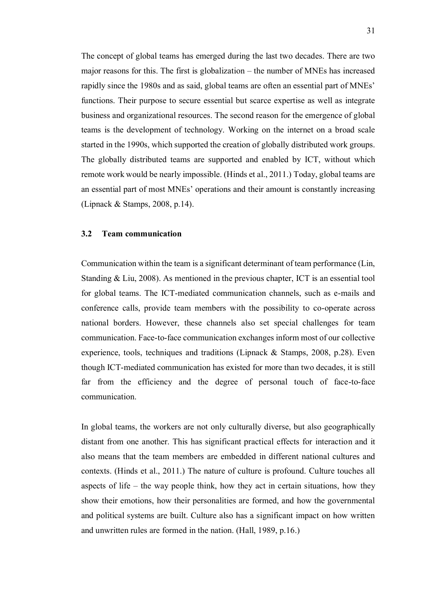The concept of global teams has emerged during the last two decades. There are two major reasons for this. The first is globalization – the number of MNEs has increased rapidly since the 1980s and as said, global teams are often an essential part of MNEs' functions. Their purpose to secure essential but scarce expertise as well as integrate business and organizational resources. The second reason for the emergence of global teams is the development of technology. Working on the internet on a broad scale started in the 1990s, which supported the creation of globally distributed work groups. The globally distributed teams are supported and enabled by ICT, without which remote work would be nearly impossible. (Hinds et al., 2011.) Today, global teams are an essential part of most MNEs' operations and their amount is constantly increasing (Lipnack & Stamps, 2008, p.14).

# **3.2 Team communication**

Communication within the team is a significant determinant of team performance (Lin, Standing & Liu, 2008). As mentioned in the previous chapter, ICT is an essential tool for global teams. The ICT-mediated communication channels, such as e-mails and conference calls, provide team members with the possibility to co-operate across national borders. However, these channels also set special challenges for team communication. Face-to-face communication exchanges inform most of our collective experience, tools, techniques and traditions (Lipnack & Stamps, 2008, p.28). Even though ICT-mediated communication has existed for more than two decades, it is still far from the efficiency and the degree of personal touch of face-to-face communication.

In global teams, the workers are not only culturally diverse, but also geographically distant from one another. This has significant practical effects for interaction and it also means that the team members are embedded in different national cultures and contexts. (Hinds et al., 2011.) The nature of culture is profound. Culture touches all aspects of life – the way people think, how they act in certain situations, how they show their emotions, how their personalities are formed, and how the governmental and political systems are built. Culture also has a significant impact on how written and unwritten rules are formed in the nation. (Hall, 1989, p.16.)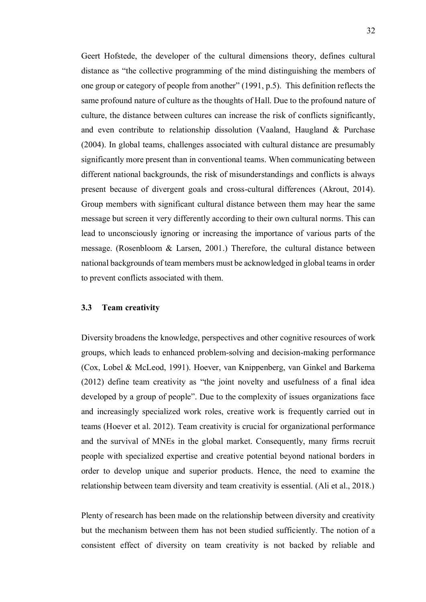Geert Hofstede, the developer of the cultural dimensions theory, defines cultural distance as "the collective programming of the mind distinguishing the members of one group or category of people from another" (1991, p.5). This definition reflects the same profound nature of culture as the thoughts of Hall. Due to the profound nature of culture, the distance between cultures can increase the risk of conflicts significantly, and even contribute to relationship dissolution (Vaaland, Haugland & Purchase (2004). In global teams, challenges associated with cultural distance are presumably significantly more present than in conventional teams. When communicating between different national backgrounds, the risk of misunderstandings and conflicts is always present because of divergent goals and cross-cultural differences (Akrout, 2014). Group members with significant cultural distance between them may hear the same message but screen it very differently according to their own cultural norms. This can lead to unconsciously ignoring or increasing the importance of various parts of the message. (Rosenbloom & Larsen, 2001.) Therefore, the cultural distance between national backgrounds of team members must be acknowledged in global teams in order to prevent conflicts associated with them.

### **3.3 Team creativity**

Diversity broadens the knowledge, perspectives and other cognitive resources of work groups, which leads to enhanced problem-solving and decision-making performance (Cox, Lobel & McLeod, 1991). Hoever, van Knippenberg, van Ginkel and Barkema (2012) define team creativity as "the joint novelty and usefulness of a final idea developed by a group of people". Due to the complexity of issues organizations face and increasingly specialized work roles, creative work is frequently carried out in teams (Hoever et al. 2012). Team creativity is crucial for organizational performance and the survival of MNEs in the global market. Consequently, many firms recruit people with specialized expertise and creative potential beyond national borders in order to develop unique and superior products. Hence, the need to examine the relationship between team diversity and team creativity is essential. (Ali et al., 2018.)

Plenty of research has been made on the relationship between diversity and creativity but the mechanism between them has not been studied sufficiently. The notion of a consistent effect of diversity on team creativity is not backed by reliable and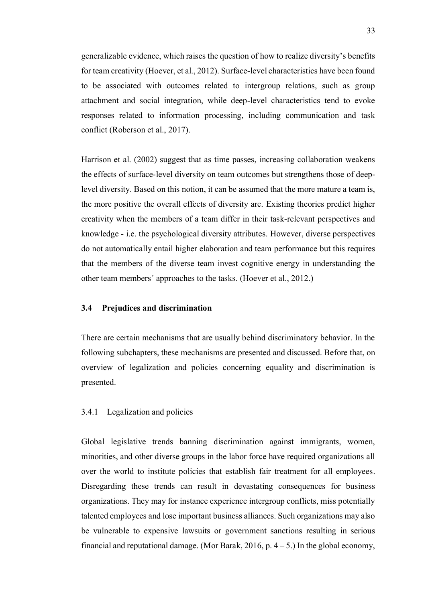generalizable evidence, which raises the question of how to realize diversity's benefits for team creativity (Hoever, et al., 2012). Surface-level characteristics have been found to be associated with outcomes related to intergroup relations, such as group attachment and social integration, while deep-level characteristics tend to evoke responses related to information processing, including communication and task conflict (Roberson et al., 2017).

Harrison et al. (2002) suggest that as time passes, increasing collaboration weakens the effects of surface-level diversity on team outcomes but strengthens those of deeplevel diversity. Based on this notion, it can be assumed that the more mature a team is, the more positive the overall effects of diversity are. Existing theories predict higher creativity when the members of a team differ in their task-relevant perspectives and knowledge - i.e. the psychological diversity attributes. However, diverse perspectives do not automatically entail higher elaboration and team performance but this requires that the members of the diverse team invest cognitive energy in understanding the other team members´ approaches to the tasks. (Hoever et al., 2012.)

# **3.4 Prejudices and discrimination**

There are certain mechanisms that are usually behind discriminatory behavior. In the following subchapters, these mechanisms are presented and discussed. Before that, on overview of legalization and policies concerning equality and discrimination is presented.

## 3.4.1 Legalization and policies

Global legislative trends banning discrimination against immigrants, women, minorities, and other diverse groups in the labor force have required organizations all over the world to institute policies that establish fair treatment for all employees. Disregarding these trends can result in devastating consequences for business organizations. They may for instance experience intergroup conflicts, miss potentially talented employees and lose important business alliances. Such organizations may also be vulnerable to expensive lawsuits or government sanctions resulting in serious financial and reputational damage. (Mor Barak, 2016, p.  $4-5$ .) In the global economy,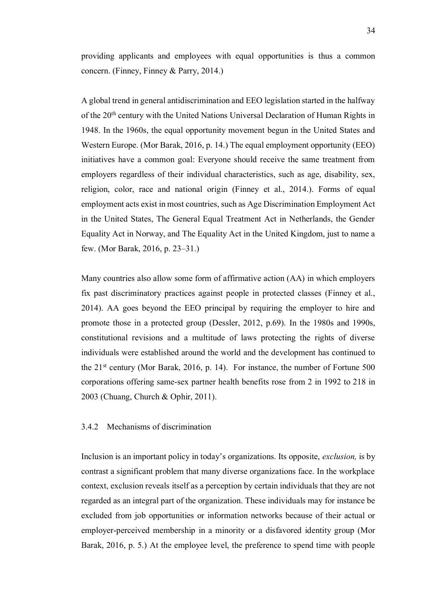providing applicants and employees with equal opportunities is thus a common concern. (Finney, Finney & Parry, 2014.)

A global trend in general antidiscrimination and EEO legislation started in the halfway of the 20th century with the United Nations Universal Declaration of Human Rights in 1948. In the 1960s, the equal opportunity movement begun in the United States and Western Europe. (Mor Barak, 2016, p. 14.) The equal employment opportunity (EEO) initiatives have a common goal: Everyone should receive the same treatment from employers regardless of their individual characteristics, such as age, disability, sex, religion, color, race and national origin (Finney et al., 2014.). Forms of equal employment acts exist in most countries, such as Age Discrimination Employment Act in the United States, The General Equal Treatment Act in Netherlands, the Gender Equality Act in Norway, and The Equality Act in the United Kingdom, just to name a few. (Mor Barak, 2016, p. 23–31.)

Many countries also allow some form of affirmative action (AA) in which employers fix past discriminatory practices against people in protected classes (Finney et al., 2014). AA goes beyond the EEO principal by requiring the employer to hire and promote those in a protected group (Dessler, 2012, p.69). In the 1980s and 1990s, constitutional revisions and a multitude of laws protecting the rights of diverse individuals were established around the world and the development has continued to the  $21<sup>st</sup>$  century (Mor Barak, 2016, p. 14). For instance, the number of Fortune 500 corporations offering same-sex partner health benefits rose from 2 in 1992 to 218 in 2003 (Chuang, Church & Ophir, 2011).

# 3.4.2 Mechanisms of discrimination

Inclusion is an important policy in today's organizations. Its opposite, *exclusion,* is by contrast a significant problem that many diverse organizations face. In the workplace context, exclusion reveals itself as a perception by certain individuals that they are not regarded as an integral part of the organization. These individuals may for instance be excluded from job opportunities or information networks because of their actual or employer-perceived membership in a minority or a disfavored identity group (Mor Barak, 2016, p. 5.) At the employee level, the preference to spend time with people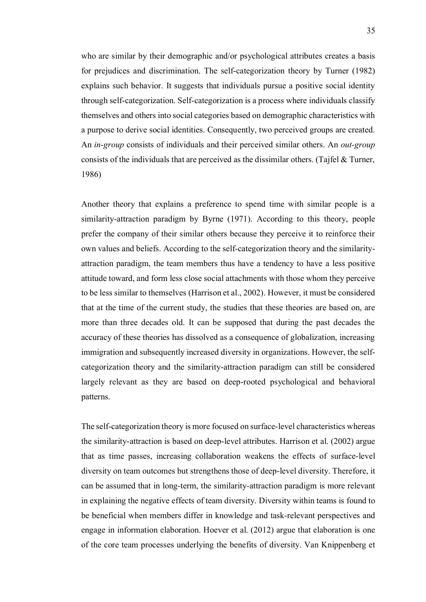who are similar by their demographic and/or psychological attributes creates a basis for prejudices and discrimination. The self-categorization theory by Turner (1982) explains such behavior. It suggests that individuals pursue a positive social identity through self-categorization. Self-categorization is a process where individuals classify themselves and others into social categories based on demographic characteristics with a purpose to derive social identities. Consequently, two perceived groups are created. An *in-group* consists of individuals and their perceived similar others. An *out-group*  consists of the individuals that are perceived as the dissimilar others. (Tajfel & Turner, 1986)

Another theory that explains a preference to spend time with similar people is a similarity-attraction paradigm by Byrne (1971). According to this theory, people prefer the company of their similar others because they perceive it to reinforce their own values and beliefs. According to the self-categorization theory and the similarityattraction paradigm, the team members thus have a tendency to have a less positive attitude toward, and form less close social attachments with those whom they perceive to be less similar to themselves (Harrison et al., 2002). However, it must be considered that at the time of the current study, the studies that these theories are based on, are more than three decades old. It can be supposed that during the past decades the accuracy of these theories has dissolved as a consequence of globalization, increasing immigration and subsequently increased diversity in organizations. However, the selfcategorization theory and the similarity-attraction paradigm can still be considered largely relevant as they are based on deep-rooted psychological and behavioral patterns.

The self-categorization theory is more focused on surface-level characteristics whereas the similarity-attraction is based on deep-level attributes. Harrison et al. (2002) argue that as time passes, increasing collaboration weakens the effects of surface-level diversity on team outcomes but strengthens those of deep-level diversity. Therefore, it can be assumed that in long-term, the similarity-attraction paradigm is more relevant in explaining the negative effects of team diversity. Diversity within teams is found to be beneficial when members differ in knowledge and task-relevant perspectives and engage in information elaboration. Hoever et al. (2012) argue that elaboration is one of the core team processes underlying the benefits of diversity. Van Knippenberg et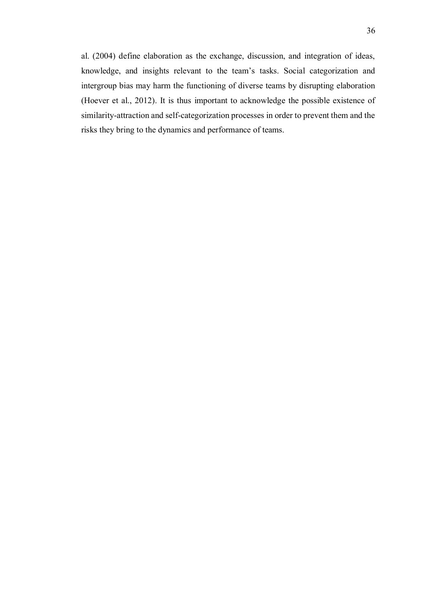al. (2004) define elaboration as the exchange, discussion, and integration of ideas, knowledge, and insights relevant to the team's tasks. Social categorization and intergroup bias may harm the functioning of diverse teams by disrupting elaboration (Hoever et al., 2012). It is thus important to acknowledge the possible existence of similarity-attraction and self-categorization processes in order to prevent them and the risks they bring to the dynamics and performance of teams.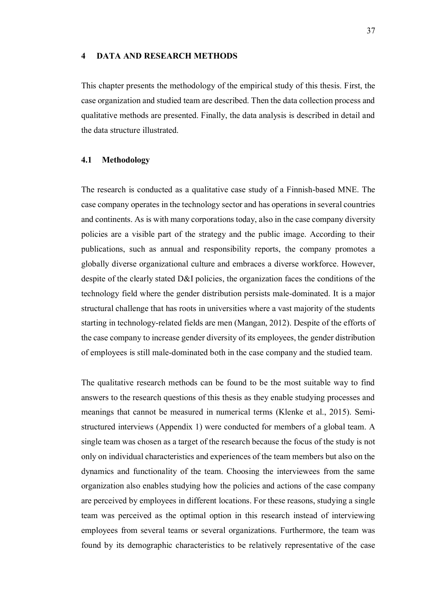#### **4 DATA AND RESEARCH METHODS**

This chapter presents the methodology of the empirical study of this thesis. First, the case organization and studied team are described. Then the data collection process and qualitative methods are presented. Finally, the data analysis is described in detail and the data structure illustrated.

### **4.1 Methodology**

The research is conducted as a qualitative case study of a Finnish-based MNE. The case company operates in the technology sector and has operations in several countries and continents. As is with many corporations today, also in the case company diversity policies are a visible part of the strategy and the public image. According to their publications, such as annual and responsibility reports, the company promotes a globally diverse organizational culture and embraces a diverse workforce. However, despite of the clearly stated D&I policies, the organization faces the conditions of the technology field where the gender distribution persists male-dominated. It is a major structural challenge that has roots in universities where a vast majority of the students starting in technology-related fields are men (Mangan, 2012). Despite of the efforts of the case company to increase gender diversity of its employees, the gender distribution of employees is still male-dominated both in the case company and the studied team.

The qualitative research methods can be found to be the most suitable way to find answers to the research questions of this thesis as they enable studying processes and meanings that cannot be measured in numerical terms (Klenke et al., 2015). Semistructured interviews (Appendix 1) were conducted for members of a global team. A single team was chosen as a target of the research because the focus of the study is not only on individual characteristics and experiences of the team members but also on the dynamics and functionality of the team. Choosing the interviewees from the same organization also enables studying how the policies and actions of the case company are perceived by employees in different locations. For these reasons, studying a single team was perceived as the optimal option in this research instead of interviewing employees from several teams or several organizations. Furthermore, the team was found by its demographic characteristics to be relatively representative of the case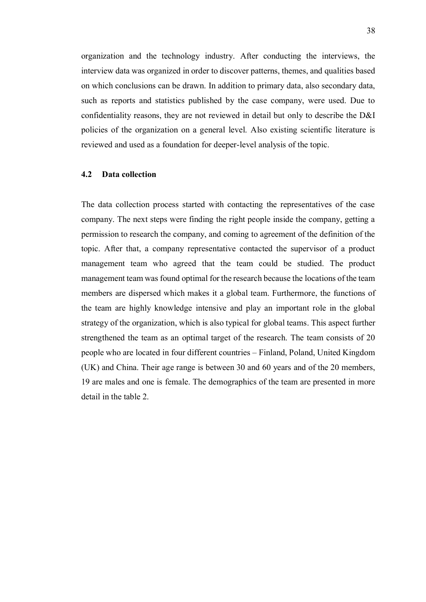organization and the technology industry. After conducting the interviews, the interview data was organized in order to discover patterns, themes, and qualities based on which conclusions can be drawn. In addition to primary data, also secondary data, such as reports and statistics published by the case company, were used. Due to confidentiality reasons, they are not reviewed in detail but only to describe the D&I policies of the organization on a general level. Also existing scientific literature is reviewed and used as a foundation for deeper-level analysis of the topic.

#### **4.2 Data collection**

The data collection process started with contacting the representatives of the case company. The next steps were finding the right people inside the company, getting a permission to research the company, and coming to agreement of the definition of the topic. After that, a company representative contacted the supervisor of a product management team who agreed that the team could be studied. The product management team was found optimal for the research because the locations of the team members are dispersed which makes it a global team. Furthermore, the functions of the team are highly knowledge intensive and play an important role in the global strategy of the organization, which is also typical for global teams. This aspect further strengthened the team as an optimal target of the research. The team consists of 20 people who are located in four different countries – Finland, Poland, United Kingdom (UK) and China. Their age range is between 30 and 60 years and of the 20 members, 19 are males and one is female. The demographics of the team are presented in more detail in the table 2.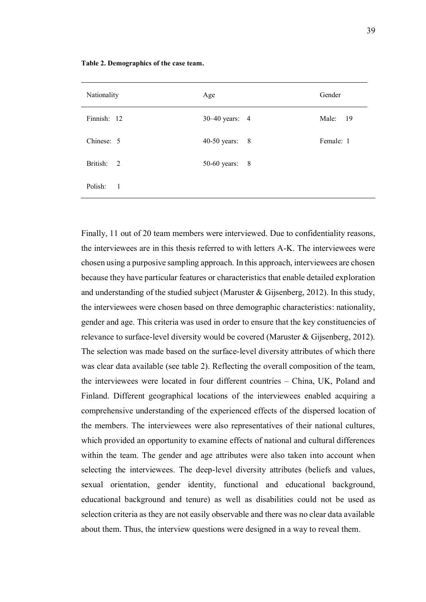| Nationality               | Age              | Gender    |
|---------------------------|------------------|-----------|
| Finnish: 12               | 30–40 years: 4   | Male: 19  |
| Chinese: 5                | 40-50 years: $8$ | Female: 1 |
| British: 2                | 50-60 years: 8   |           |
| Polish:<br>$\overline{1}$ |                  |           |

**Table 2. Demographics of the case team.**

Finally, 11 out of 20 team members were interviewed. Due to confidentiality reasons, the interviewees are in this thesis referred to with letters A-K. The interviewees were chosen using a purposive sampling approach. In this approach, interviewees are chosen because they have particular features or characteristics that enable detailed exploration and understanding of the studied subject (Maruster & Gijsenberg, 2012). In this study, the interviewees were chosen based on three demographic characteristics: nationality, gender and age. This criteria was used in order to ensure that the key constituencies of relevance to surface-level diversity would be covered (Maruster & Gijsenberg, 2012). The selection was made based on the surface-level diversity attributes of which there was clear data available (see table 2). Reflecting the overall composition of the team, the interviewees were located in four different countries – China, UK, Poland and Finland. Different geographical locations of the interviewees enabled acquiring a comprehensive understanding of the experienced effects of the dispersed location of the members. The interviewees were also representatives of their national cultures, which provided an opportunity to examine effects of national and cultural differences within the team. The gender and age attributes were also taken into account when selecting the interviewees. The deep-level diversity attributes (beliefs and values, sexual orientation, gender identity, functional and educational background, educational background and tenure) as well as disabilities could not be used as selection criteria as they are not easily observable and there was no clear data available about them. Thus, the interview questions were designed in a way to reveal them.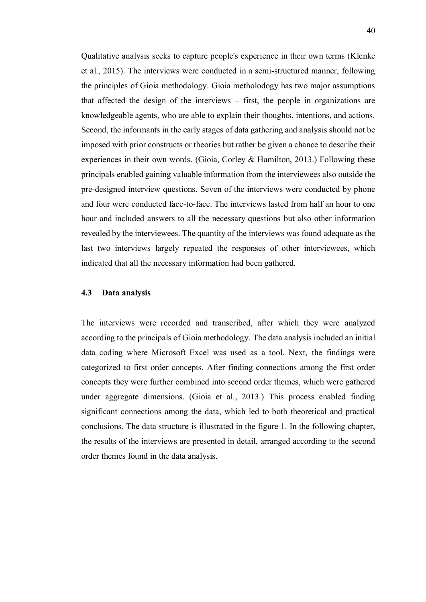Qualitative analysis seeks to capture people's experience in their own terms (Klenke et al., 2015). The interviews were conducted in a semi-structured manner, following the principles of Gioia methodology. Gioia metholodogy has two major assumptions that affected the design of the interviews – first, the people in organizations are knowledgeable agents, who are able to explain their thoughts, intentions, and actions. Second, the informants in the early stages of data gathering and analysis should not be imposed with prior constructs or theories but rather be given a chance to describe their experiences in their own words. (Gioia, Corley  $&$  Hamilton, 2013.) Following these principals enabled gaining valuable information from the interviewees also outside the pre-designed interview questions. Seven of the interviews were conducted by phone and four were conducted face-to-face. The interviews lasted from half an hour to one hour and included answers to all the necessary questions but also other information revealed by the interviewees. The quantity of the interviews was found adequate as the last two interviews largely repeated the responses of other interviewees, which indicated that all the necessary information had been gathered.

### **4.3 Data analysis**

The interviews were recorded and transcribed, after which they were analyzed according to the principals of Gioia methodology. The data analysis included an initial data coding where Microsoft Excel was used as a tool. Next, the findings were categorized to first order concepts. After finding connections among the first order concepts they were further combined into second order themes, which were gathered under aggregate dimensions. (Gioia et al., 2013.) This process enabled finding significant connections among the data, which led to both theoretical and practical conclusions. The data structure is illustrated in the figure 1. In the following chapter, the results of the interviews are presented in detail, arranged according to the second order themes found in the data analysis.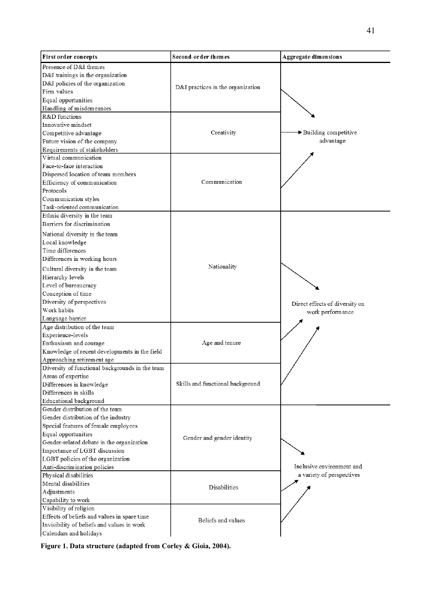| <b>First order concepts</b>                               | Second-order themes               | <b>Aggregate dimensions</b>                            |  |
|-----------------------------------------------------------|-----------------------------------|--------------------------------------------------------|--|
| Presence of D&I themes                                    |                                   |                                                        |  |
| D&I trainings in the organization                         |                                   |                                                        |  |
| D&I policies of the organization                          | D&I practices in the organization |                                                        |  |
| Firm values                                               |                                   |                                                        |  |
| Equal opportunities                                       |                                   |                                                        |  |
| Handling of misdemeanors                                  |                                   |                                                        |  |
| R&D functions                                             |                                   |                                                        |  |
| Innovative mindset                                        | Creativity                        | Building competitive<br>advantage                      |  |
| Competitive advantage                                     |                                   |                                                        |  |
| Future vision of the company                              |                                   |                                                        |  |
| Requirements of stakeholders                              |                                   |                                                        |  |
| Virtual communication                                     | Communication                     |                                                        |  |
| Face-to-face interaction                                  |                                   |                                                        |  |
| Dispersed location of team members                        |                                   |                                                        |  |
| Efficiency of communication                               |                                   |                                                        |  |
| Protocols                                                 |                                   |                                                        |  |
| Communication styles                                      |                                   |                                                        |  |
| Task-oriented communication                               |                                   |                                                        |  |
| Ethnic diversity in the team                              |                                   |                                                        |  |
| Barriers for discrimination                               | Nationality                       |                                                        |  |
| National diversity in the team                            |                                   |                                                        |  |
| Local knowledge                                           |                                   |                                                        |  |
| Time differences                                          |                                   |                                                        |  |
| Differences in working hours                              |                                   |                                                        |  |
| Cultural diversity in the team                            |                                   |                                                        |  |
| Hierarchy levels                                          |                                   |                                                        |  |
| Level of bureaucracy                                      |                                   |                                                        |  |
| Conception of time                                        |                                   |                                                        |  |
| Diversity of perspectives                                 |                                   | Direct effects of diversity on<br>work performance     |  |
| Work habits                                               |                                   |                                                        |  |
| Language barrier                                          |                                   |                                                        |  |
| Age distribution of the team                              |                                   |                                                        |  |
| Experience-levels                                         |                                   |                                                        |  |
| Enthusiasm and courage                                    | Age and tenure                    |                                                        |  |
| Knowledge of recent developments in the field             |                                   |                                                        |  |
| Approaching retirement age                                |                                   |                                                        |  |
| Diversity of functional backgrounds in the team           | Skills and functional background  |                                                        |  |
| Areas of expertise                                        |                                   |                                                        |  |
| Differences in knowledge                                  |                                   |                                                        |  |
| Differences in skills                                     |                                   |                                                        |  |
| Educational background<br>Gender distribution of the team |                                   |                                                        |  |
| Gender distribution of the industry                       | Gender and gender identity        |                                                        |  |
| Special features of female employees                      |                                   |                                                        |  |
| Equal opportunities                                       |                                   |                                                        |  |
| Gender-related debate in the organization                 |                                   | Inclusive environment and<br>a variety of perspectives |  |
| Importance of LGBT discussion                             |                                   |                                                        |  |
| LGBT policies of the organization                         |                                   |                                                        |  |
| Anti-discrimination policies                              |                                   |                                                        |  |
| Physical disabilities                                     |                                   |                                                        |  |
| Mental disabilities                                       | <b>Disabilities</b>               |                                                        |  |
| Adjustments                                               |                                   |                                                        |  |
| Capability to work                                        |                                   |                                                        |  |
| Visibility of religion                                    | Beliefs and values                |                                                        |  |
| Effects of beliefs and values in spare time               |                                   |                                                        |  |
| Invisibility of beliefs and values in work                |                                   |                                                        |  |
| Calendars and holidays                                    |                                   |                                                        |  |
|                                                           |                                   |                                                        |  |

**Figure 1. Data structure (adapted from Corley & Gioia, 2004).**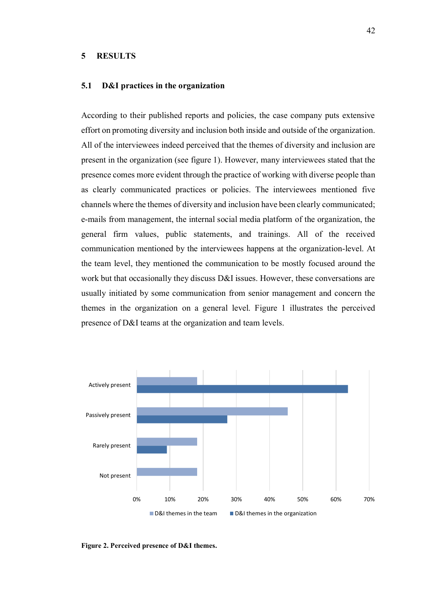#### **5 RESULTS**

### **5.1 D&I practices in the organization**

According to their published reports and policies, the case company puts extensive effort on promoting diversity and inclusion both inside and outside of the organization. All of the interviewees indeed perceived that the themes of diversity and inclusion are present in the organization (see figure 1). However, many interviewees stated that the presence comes more evident through the practice of working with diverse people than as clearly communicated practices or policies. The interviewees mentioned five channels where the themes of diversity and inclusion have been clearly communicated; e-mails from management, the internal social media platform of the organization, the general firm values, public statements, and trainings. All of the received communication mentioned by the interviewees happens at the organization-level. At the team level, they mentioned the communication to be mostly focused around the work but that occasionally they discuss D&I issues. However, these conversations are usually initiated by some communication from senior management and concern the themes in the organization on a general level. Figure 1 illustrates the perceived presence of D&I teams at the organization and team levels.



**Figure 2. Perceived presence of D&I themes.**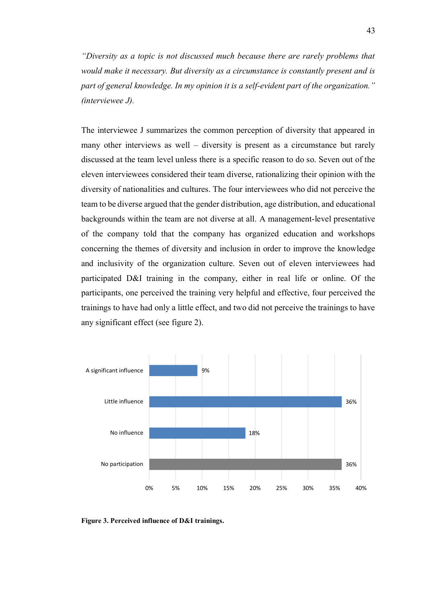*"Diversity as a topic is not discussed much because there are rarely problems that would make it necessary. But diversity as a circumstance is constantly present and is part of general knowledge. In my opinion it is a self-evident part of the organization." (interviewee J).* 

The interviewee J summarizes the common perception of diversity that appeared in many other interviews as well – diversity is present as a circumstance but rarely discussed at the team level unless there is a specific reason to do so. Seven out of the eleven interviewees considered their team diverse, rationalizing their opinion with the diversity of nationalities and cultures. The four interviewees who did not perceive the team to be diverse argued that the gender distribution, age distribution, and educational backgrounds within the team are not diverse at all. A management-level presentative of the company told that the company has organized education and workshops concerning the themes of diversity and inclusion in order to improve the knowledge and inclusivity of the organization culture. Seven out of eleven interviewees had participated D&I training in the company, either in real life or online. Of the participants, one perceived the training very helpful and effective, four perceived the trainings to have had only a little effect, and two did not perceive the trainings to have any significant effect (see figure 2).



**Figure 3. Perceived influence of D&I trainings.**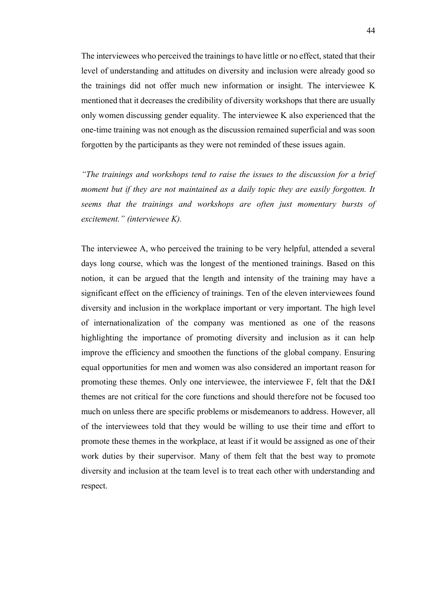The interviewees who perceived the trainings to have little or no effect, stated that their level of understanding and attitudes on diversity and inclusion were already good so the trainings did not offer much new information or insight. The interviewee K mentioned that it decreases the credibility of diversity workshops that there are usually only women discussing gender equality. The interviewee K also experienced that the one-time training was not enough as the discussion remained superficial and was soon forgotten by the participants as they were not reminded of these issues again.

*"The trainings and workshops tend to raise the issues to the discussion for a brief moment but if they are not maintained as a daily topic they are easily forgotten. It seems that the trainings and workshops are often just momentary bursts of excitement." (interviewee K).*

The interviewee A, who perceived the training to be very helpful, attended a several days long course, which was the longest of the mentioned trainings. Based on this notion, it can be argued that the length and intensity of the training may have a significant effect on the efficiency of trainings. Ten of the eleven interviewees found diversity and inclusion in the workplace important or very important. The high level of internationalization of the company was mentioned as one of the reasons highlighting the importance of promoting diversity and inclusion as it can help improve the efficiency and smoothen the functions of the global company. Ensuring equal opportunities for men and women was also considered an important reason for promoting these themes. Only one interviewee, the interviewee F, felt that the D&I themes are not critical for the core functions and should therefore not be focused too much on unless there are specific problems or misdemeanors to address. However, all of the interviewees told that they would be willing to use their time and effort to promote these themes in the workplace, at least if it would be assigned as one of their work duties by their supervisor. Many of them felt that the best way to promote diversity and inclusion at the team level is to treat each other with understanding and respect.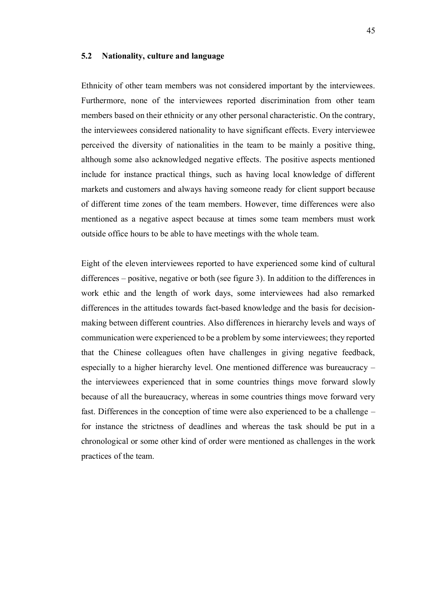#### **5.2 Nationality, culture and language**

Ethnicity of other team members was not considered important by the interviewees. Furthermore, none of the interviewees reported discrimination from other team members based on their ethnicity or any other personal characteristic. On the contrary, the interviewees considered nationality to have significant effects. Every interviewee perceived the diversity of nationalities in the team to be mainly a positive thing, although some also acknowledged negative effects. The positive aspects mentioned include for instance practical things, such as having local knowledge of different markets and customers and always having someone ready for client support because of different time zones of the team members. However, time differences were also mentioned as a negative aspect because at times some team members must work outside office hours to be able to have meetings with the whole team.

Eight of the eleven interviewees reported to have experienced some kind of cultural differences – positive, negative or both (see figure 3). In addition to the differences in work ethic and the length of work days, some interviewees had also remarked differences in the attitudes towards fact-based knowledge and the basis for decisionmaking between different countries. Also differences in hierarchy levels and ways of communication were experienced to be a problem by some interviewees; they reported that the Chinese colleagues often have challenges in giving negative feedback, especially to a higher hierarchy level. One mentioned difference was bureaucracy – the interviewees experienced that in some countries things move forward slowly because of all the bureaucracy, whereas in some countries things move forward very fast. Differences in the conception of time were also experienced to be a challenge – for instance the strictness of deadlines and whereas the task should be put in a chronological or some other kind of order were mentioned as challenges in the work practices of the team.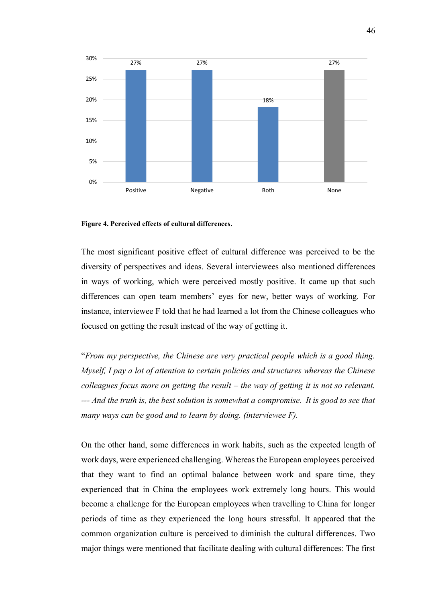

#### **Figure 4. Perceived effects of cultural differences.**

The most significant positive effect of cultural difference was perceived to be the diversity of perspectives and ideas. Several interviewees also mentioned differences in ways of working, which were perceived mostly positive. It came up that such differences can open team members' eyes for new, better ways of working. For instance, interviewee F told that he had learned a lot from the Chinese colleagues who focused on getting the result instead of the way of getting it.

"*From my perspective, the Chinese are very practical people which is a good thing. Myself, I pay a lot of attention to certain policies and structures whereas the Chinese colleagues focus more on getting the result – the way of getting it is not so relevant. --- And the truth is, the best solution is somewhat a compromise. It is good to see that many ways can be good and to learn by doing. (interviewee F).*

On the other hand, some differences in work habits, such as the expected length of work days, were experienced challenging. Whereas the European employees perceived that they want to find an optimal balance between work and spare time, they experienced that in China the employees work extremely long hours. This would become a challenge for the European employees when travelling to China for longer periods of time as they experienced the long hours stressful. It appeared that the common organization culture is perceived to diminish the cultural differences. Two major things were mentioned that facilitate dealing with cultural differences: The first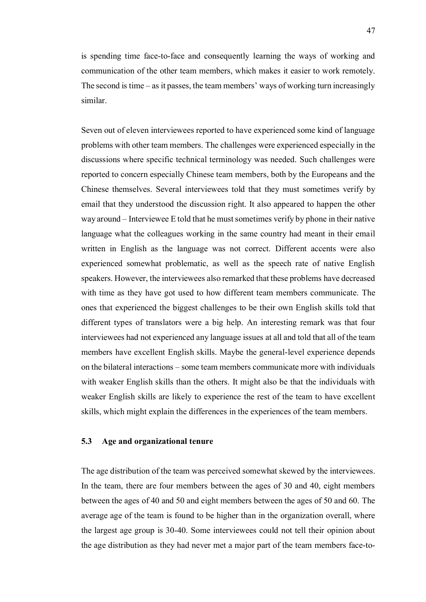is spending time face-to-face and consequently learning the ways of working and communication of the other team members, which makes it easier to work remotely. The second is time – as it passes, the team members' ways of working turn increasingly similar.

Seven out of eleven interviewees reported to have experienced some kind of language problems with other team members. The challenges were experienced especially in the discussions where specific technical terminology was needed. Such challenges were reported to concern especially Chinese team members, both by the Europeans and the Chinese themselves. Several interviewees told that they must sometimes verify by email that they understood the discussion right. It also appeared to happen the other way around – Interviewee E told that he must sometimes verify by phone in their native language what the colleagues working in the same country had meant in their email written in English as the language was not correct. Different accents were also experienced somewhat problematic, as well as the speech rate of native English speakers. However, the interviewees also remarked that these problems have decreased with time as they have got used to how different team members communicate. The ones that experienced the biggest challenges to be their own English skills told that different types of translators were a big help. An interesting remark was that four interviewees had not experienced any language issues at all and told that all of the team members have excellent English skills. Maybe the general-level experience depends on the bilateral interactions – some team members communicate more with individuals with weaker English skills than the others. It might also be that the individuals with weaker English skills are likely to experience the rest of the team to have excellent skills, which might explain the differences in the experiences of the team members.

### **5.3 Age and organizational tenure**

The age distribution of the team was perceived somewhat skewed by the interviewees. In the team, there are four members between the ages of 30 and 40, eight members between the ages of 40 and 50 and eight members between the ages of 50 and 60. The average age of the team is found to be higher than in the organization overall, where the largest age group is 30-40. Some interviewees could not tell their opinion about the age distribution as they had never met a major part of the team members face-to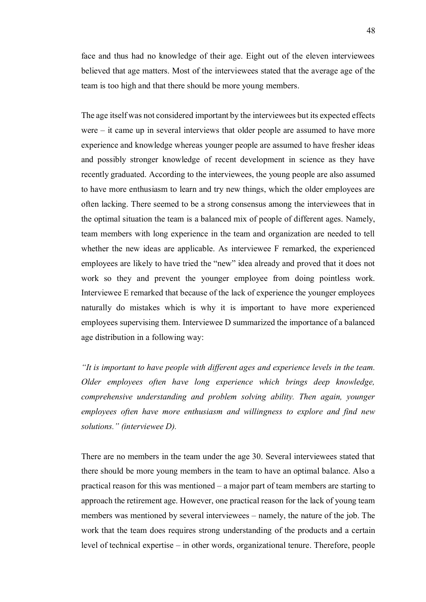face and thus had no knowledge of their age. Eight out of the eleven interviewees believed that age matters. Most of the interviewees stated that the average age of the team is too high and that there should be more young members.

The age itself was not considered important by the interviewees but its expected effects were – it came up in several interviews that older people are assumed to have more experience and knowledge whereas younger people are assumed to have fresher ideas and possibly stronger knowledge of recent development in science as they have recently graduated. According to the interviewees, the young people are also assumed to have more enthusiasm to learn and try new things, which the older employees are often lacking. There seemed to be a strong consensus among the interviewees that in the optimal situation the team is a balanced mix of people of different ages. Namely, team members with long experience in the team and organization are needed to tell whether the new ideas are applicable. As interviewee F remarked, the experienced employees are likely to have tried the "new" idea already and proved that it does not work so they and prevent the younger employee from doing pointless work. Interviewee E remarked that because of the lack of experience the younger employees naturally do mistakes which is why it is important to have more experienced employees supervising them. Interviewee D summarized the importance of a balanced age distribution in a following way:

*"It is important to have people with different ages and experience levels in the team. Older employees often have long experience which brings deep knowledge, comprehensive understanding and problem solving ability. Then again, younger employees often have more enthusiasm and willingness to explore and find new solutions." (interviewee D).*

There are no members in the team under the age 30. Several interviewees stated that there should be more young members in the team to have an optimal balance. Also a practical reason for this was mentioned – a major part of team members are starting to approach the retirement age. However, one practical reason for the lack of young team members was mentioned by several interviewees – namely, the nature of the job. The work that the team does requires strong understanding of the products and a certain level of technical expertise – in other words, organizational tenure. Therefore, people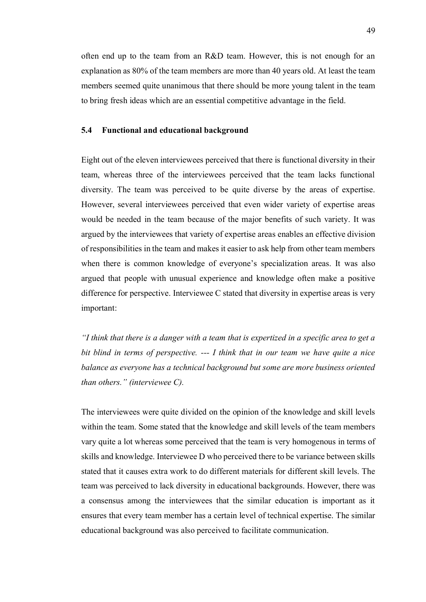often end up to the team from an R&D team. However, this is not enough for an explanation as 80% of the team members are more than 40 years old. At least the team members seemed quite unanimous that there should be more young talent in the team to bring fresh ideas which are an essential competitive advantage in the field.

## **5.4 Functional and educational background**

Eight out of the eleven interviewees perceived that there is functional diversity in their team, whereas three of the interviewees perceived that the team lacks functional diversity. The team was perceived to be quite diverse by the areas of expertise. However, several interviewees perceived that even wider variety of expertise areas would be needed in the team because of the major benefits of such variety. It was argued by the interviewees that variety of expertise areas enables an effective division of responsibilities in the team and makes it easier to ask help from other team members when there is common knowledge of everyone's specialization areas. It was also argued that people with unusual experience and knowledge often make a positive difference for perspective. Interviewee C stated that diversity in expertise areas is very important:

*"I think that there is a danger with a team that is expertized in a specific area to get a bit blind in terms of perspective. --- I think that in our team we have quite a nice balance as everyone has a technical background but some are more business oriented than others." (interviewee C).*

The interviewees were quite divided on the opinion of the knowledge and skill levels within the team. Some stated that the knowledge and skill levels of the team members vary quite a lot whereas some perceived that the team is very homogenous in terms of skills and knowledge. Interviewee D who perceived there to be variance between skills stated that it causes extra work to do different materials for different skill levels. The team was perceived to lack diversity in educational backgrounds. However, there was a consensus among the interviewees that the similar education is important as it ensures that every team member has a certain level of technical expertise. The similar educational background was also perceived to facilitate communication.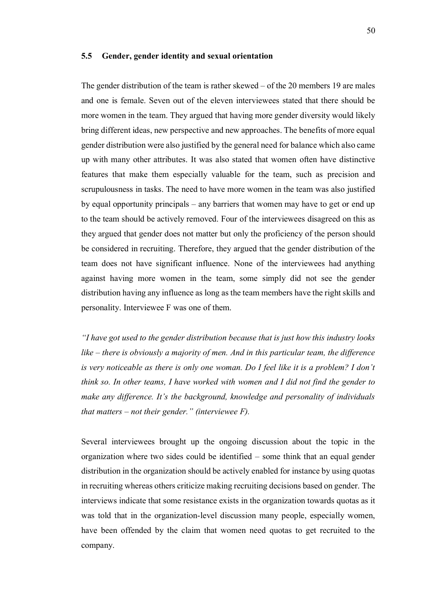#### **5.5 Gender, gender identity and sexual orientation**

The gender distribution of the team is rather skewed – of the 20 members 19 are males and one is female. Seven out of the eleven interviewees stated that there should be more women in the team. They argued that having more gender diversity would likely bring different ideas, new perspective and new approaches. The benefits of more equal gender distribution were also justified by the general need for balance which also came up with many other attributes. It was also stated that women often have distinctive features that make them especially valuable for the team, such as precision and scrupulousness in tasks. The need to have more women in the team was also justified by equal opportunity principals – any barriers that women may have to get or end up to the team should be actively removed. Four of the interviewees disagreed on this as they argued that gender does not matter but only the proficiency of the person should be considered in recruiting. Therefore, they argued that the gender distribution of the team does not have significant influence. None of the interviewees had anything against having more women in the team, some simply did not see the gender distribution having any influence as long as the team members have the right skills and personality. Interviewee F was one of them.

*"I have got used to the gender distribution because that is just how this industry looks like – there is obviously a majority of men. And in this particular team, the difference is very noticeable as there is only one woman. Do I feel like it is a problem? I don't think so. In other teams, I have worked with women and I did not find the gender to make any difference. It's the background, knowledge and personality of individuals that matters – not their gender." (interviewee F).*

Several interviewees brought up the ongoing discussion about the topic in the organization where two sides could be identified – some think that an equal gender distribution in the organization should be actively enabled for instance by using quotas in recruiting whereas others criticize making recruiting decisions based on gender. The interviews indicate that some resistance exists in the organization towards quotas as it was told that in the organization-level discussion many people, especially women, have been offended by the claim that women need quotas to get recruited to the company.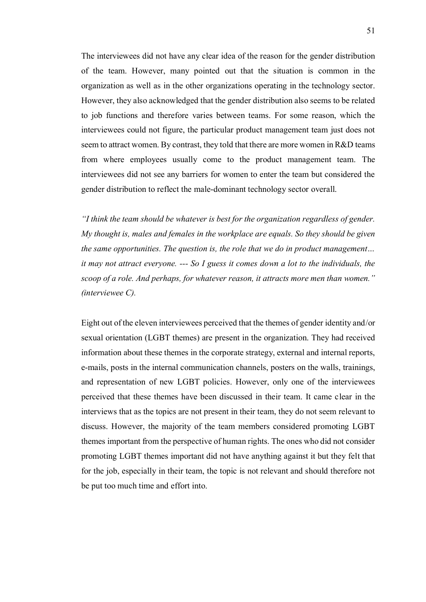The interviewees did not have any clear idea of the reason for the gender distribution of the team. However, many pointed out that the situation is common in the organization as well as in the other organizations operating in the technology sector. However, they also acknowledged that the gender distribution also seems to be related to job functions and therefore varies between teams. For some reason, which the interviewees could not figure, the particular product management team just does not seem to attract women. By contrast, they told that there are more women in R&D teams from where employees usually come to the product management team. The interviewees did not see any barriers for women to enter the team but considered the gender distribution to reflect the male-dominant technology sector overall.

*"I think the team should be whatever is best for the organization regardless of gender. My thought is, males and females in the workplace are equals. So they should be given the same opportunities. The question is, the role that we do in product management… it may not attract everyone. --- So I guess it comes down a lot to the individuals, the scoop of a role. And perhaps, for whatever reason, it attracts more men than women." (interviewee C).*

Eight out of the eleven interviewees perceived that the themes of gender identity and/or sexual orientation (LGBT themes) are present in the organization. They had received information about these themes in the corporate strategy, external and internal reports, e-mails, posts in the internal communication channels, posters on the walls, trainings, and representation of new LGBT policies. However, only one of the interviewees perceived that these themes have been discussed in their team. It came clear in the interviews that as the topics are not present in their team, they do not seem relevant to discuss. However, the majority of the team members considered promoting LGBT themes important from the perspective of human rights. The ones who did not consider promoting LGBT themes important did not have anything against it but they felt that for the job, especially in their team, the topic is not relevant and should therefore not be put too much time and effort into.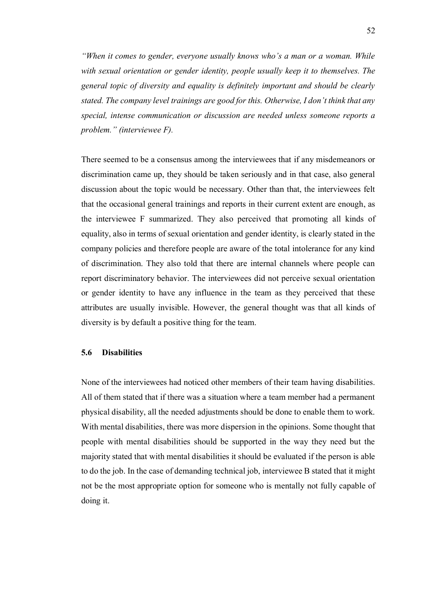*"When it comes to gender, everyone usually knows who's a man or a woman. While with sexual orientation or gender identity, people usually keep it to themselves. The general topic of diversity and equality is definitely important and should be clearly stated. The company level trainings are good for this. Otherwise, I don't think that any special, intense communication or discussion are needed unless someone reports a problem." (interviewee F).*

There seemed to be a consensus among the interviewees that if any misdemeanors or discrimination came up, they should be taken seriously and in that case, also general discussion about the topic would be necessary. Other than that, the interviewees felt that the occasional general trainings and reports in their current extent are enough, as the interviewee F summarized. They also perceived that promoting all kinds of equality, also in terms of sexual orientation and gender identity, is clearly stated in the company policies and therefore people are aware of the total intolerance for any kind of discrimination. They also told that there are internal channels where people can report discriminatory behavior. The interviewees did not perceive sexual orientation or gender identity to have any influence in the team as they perceived that these attributes are usually invisible. However, the general thought was that all kinds of diversity is by default a positive thing for the team.

### **5.6 Disabilities**

None of the interviewees had noticed other members of their team having disabilities. All of them stated that if there was a situation where a team member had a permanent physical disability, all the needed adjustments should be done to enable them to work. With mental disabilities, there was more dispersion in the opinions. Some thought that people with mental disabilities should be supported in the way they need but the majority stated that with mental disabilities it should be evaluated if the person is able to do the job. In the case of demanding technical job, interviewee B stated that it might not be the most appropriate option for someone who is mentally not fully capable of doing it.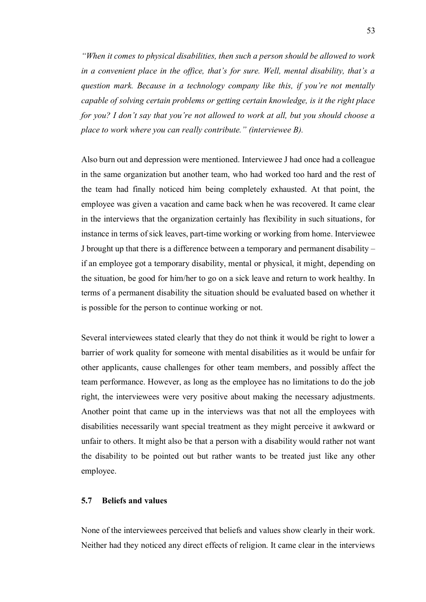*"When it comes to physical disabilities, then such a person should be allowed to work in a convenient place in the office, that's for sure. Well, mental disability, that's a question mark. Because in a technology company like this, if you're not mentally capable of solving certain problems or getting certain knowledge, is it the right place for you? I don't say that you're not allowed to work at all, but you should choose a place to work where you can really contribute." (interviewee B).*

Also burn out and depression were mentioned. Interviewee J had once had a colleague in the same organization but another team, who had worked too hard and the rest of the team had finally noticed him being completely exhausted. At that point, the employee was given a vacation and came back when he was recovered. It came clear in the interviews that the organization certainly has flexibility in such situations, for instance in terms of sick leaves, part-time working or working from home. Interviewee J brought up that there is a difference between a temporary and permanent disability – if an employee got a temporary disability, mental or physical, it might, depending on the situation, be good for him/her to go on a sick leave and return to work healthy. In terms of a permanent disability the situation should be evaluated based on whether it is possible for the person to continue working or not.

Several interviewees stated clearly that they do not think it would be right to lower a barrier of work quality for someone with mental disabilities as it would be unfair for other applicants, cause challenges for other team members, and possibly affect the team performance. However, as long as the employee has no limitations to do the job right, the interviewees were very positive about making the necessary adjustments. Another point that came up in the interviews was that not all the employees with disabilities necessarily want special treatment as they might perceive it awkward or unfair to others. It might also be that a person with a disability would rather not want the disability to be pointed out but rather wants to be treated just like any other employee.

# **5.7 Beliefs and values**

None of the interviewees perceived that beliefs and values show clearly in their work. Neither had they noticed any direct effects of religion. It came clear in the interviews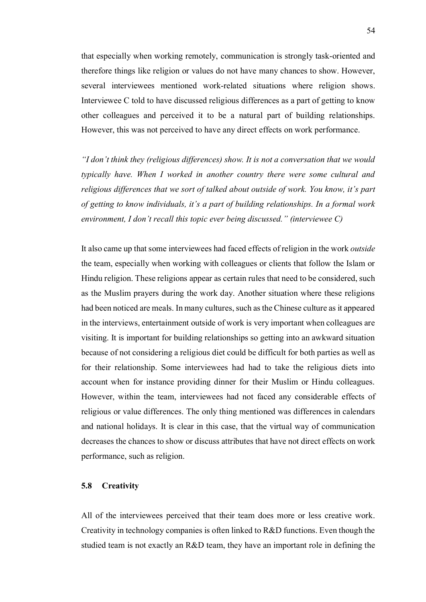that especially when working remotely, communication is strongly task-oriented and therefore things like religion or values do not have many chances to show. However, several interviewees mentioned work-related situations where religion shows. Interviewee C told to have discussed religious differences as a part of getting to know other colleagues and perceived it to be a natural part of building relationships. However, this was not perceived to have any direct effects on work performance.

*"I don't think they (religious differences) show. It is not a conversation that we would typically have. When I worked in another country there were some cultural and religious differences that we sort of talked about outside of work. You know, it's part of getting to know individuals, it's a part of building relationships. In a formal work environment, I don't recall this topic ever being discussed." (interviewee C)*

It also came up that some interviewees had faced effects of religion in the work *outside*  the team, especially when working with colleagues or clients that follow the Islam or Hindu religion. These religions appear as certain rules that need to be considered, such as the Muslim prayers during the work day. Another situation where these religions had been noticed are meals. In many cultures, such as the Chinese culture as it appeared in the interviews, entertainment outside of work is very important when colleagues are visiting. It is important for building relationships so getting into an awkward situation because of not considering a religious diet could be difficult for both parties as well as for their relationship. Some interviewees had had to take the religious diets into account when for instance providing dinner for their Muslim or Hindu colleagues. However, within the team, interviewees had not faced any considerable effects of religious or value differences. The only thing mentioned was differences in calendars and national holidays. It is clear in this case, that the virtual way of communication decreases the chances to show or discuss attributes that have not direct effects on work performance, such as religion.

### **5.8 Creativity**

All of the interviewees perceived that their team does more or less creative work. Creativity in technology companies is often linked to R&D functions. Even though the studied team is not exactly an R&D team, they have an important role in defining the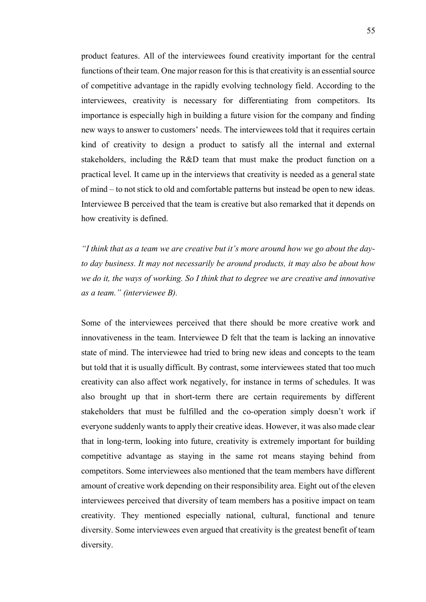product features. All of the interviewees found creativity important for the central functions of their team. One major reason for this is that creativity is an essential source of competitive advantage in the rapidly evolving technology field. According to the interviewees, creativity is necessary for differentiating from competitors. Its importance is especially high in building a future vision for the company and finding new ways to answer to customers' needs. The interviewees told that it requires certain kind of creativity to design a product to satisfy all the internal and external stakeholders, including the R&D team that must make the product function on a practical level. It came up in the interviews that creativity is needed as a general state of mind – to not stick to old and comfortable patterns but instead be open to new ideas. Interviewee B perceived that the team is creative but also remarked that it depends on how creativity is defined.

*"I think that as a team we are creative but it's more around how we go about the dayto day business. It may not necessarily be around products, it may also be about how we do it, the ways of working. So I think that to degree we are creative and innovative as a team." (interviewee B).*

Some of the interviewees perceived that there should be more creative work and innovativeness in the team. Interviewee D felt that the team is lacking an innovative state of mind. The interviewee had tried to bring new ideas and concepts to the team but told that it is usually difficult. By contrast, some interviewees stated that too much creativity can also affect work negatively, for instance in terms of schedules. It was also brought up that in short-term there are certain requirements by different stakeholders that must be fulfilled and the co-operation simply doesn't work if everyone suddenly wants to apply their creative ideas. However, it was also made clear that in long-term, looking into future, creativity is extremely important for building competitive advantage as staying in the same rot means staying behind from competitors. Some interviewees also mentioned that the team members have different amount of creative work depending on their responsibility area. Eight out of the eleven interviewees perceived that diversity of team members has a positive impact on team creativity. They mentioned especially national, cultural, functional and tenure diversity. Some interviewees even argued that creativity is the greatest benefit of team diversity.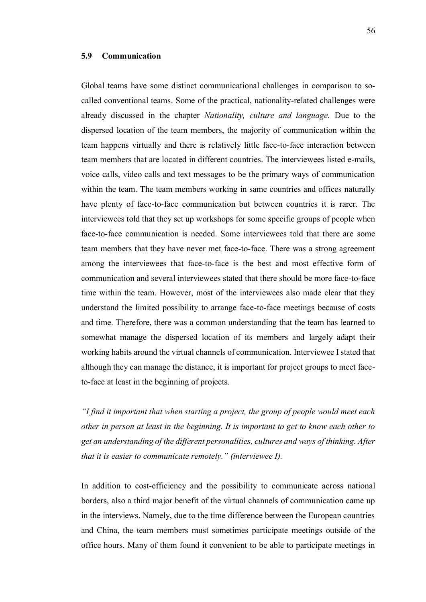### **5.9 Communication**

Global teams have some distinct communicational challenges in comparison to socalled conventional teams. Some of the practical, nationality-related challenges were already discussed in the chapter *Nationality, culture and language.* Due to the dispersed location of the team members, the majority of communication within the team happens virtually and there is relatively little face-to-face interaction between team members that are located in different countries. The interviewees listed e-mails, voice calls, video calls and text messages to be the primary ways of communication within the team. The team members working in same countries and offices naturally have plenty of face-to-face communication but between countries it is rarer. The interviewees told that they set up workshops for some specific groups of people when face-to-face communication is needed. Some interviewees told that there are some team members that they have never met face-to-face. There was a strong agreement among the interviewees that face-to-face is the best and most effective form of communication and several interviewees stated that there should be more face-to-face time within the team. However, most of the interviewees also made clear that they understand the limited possibility to arrange face-to-face meetings because of costs and time. Therefore, there was a common understanding that the team has learned to somewhat manage the dispersed location of its members and largely adapt their working habits around the virtual channels of communication. Interviewee I stated that although they can manage the distance, it is important for project groups to meet faceto-face at least in the beginning of projects.

*"I find it important that when starting a project, the group of people would meet each other in person at least in the beginning. It is important to get to know each other to get an understanding of the different personalities, cultures and ways of thinking. After that it is easier to communicate remotely." (interviewee I).*

In addition to cost-efficiency and the possibility to communicate across national borders, also a third major benefit of the virtual channels of communication came up in the interviews. Namely, due to the time difference between the European countries and China, the team members must sometimes participate meetings outside of the office hours. Many of them found it convenient to be able to participate meetings in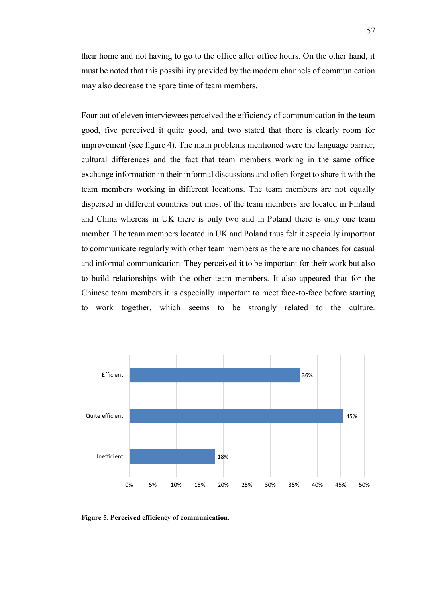their home and not having to go to the office after office hours. On the other hand, it must be noted that this possibility provided by the modern channels of communication may also decrease the spare time of team members.

Four out of eleven interviewees perceived the efficiency of communication in the team good, five perceived it quite good, and two stated that there is clearly room for improvement (see figure 4). The main problems mentioned were the language barrier, cultural differences and the fact that team members working in the same office exchange information in their informal discussions and often forget to share it with the team members working in different locations. The team members are not equally dispersed in different countries but most of the team members are located in Finland and China whereas in UK there is only two and in Poland there is only one team member. The team members located in UK and Poland thus felt it especially important to communicate regularly with other team members as there are no chances for casual and informal communication. They perceived it to be important for their work but also to build relationships with the other team members. It also appeared that for the Chinese team members it is especially important to meet face-to-face before starting to work together, which seems to be strongly related to the culture.



**Figure 5. Perceived efficiency of communication.**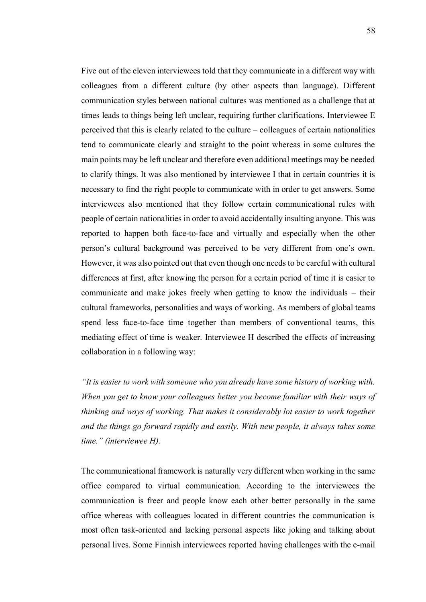Five out of the eleven interviewees told that they communicate in a different way with colleagues from a different culture (by other aspects than language). Different communication styles between national cultures was mentioned as a challenge that at times leads to things being left unclear, requiring further clarifications. Interviewee E perceived that this is clearly related to the culture – colleagues of certain nationalities tend to communicate clearly and straight to the point whereas in some cultures the main points may be left unclear and therefore even additional meetings may be needed to clarify things. It was also mentioned by interviewee I that in certain countries it is necessary to find the right people to communicate with in order to get answers. Some interviewees also mentioned that they follow certain communicational rules with people of certain nationalities in order to avoid accidentally insulting anyone. This was reported to happen both face-to-face and virtually and especially when the other person's cultural background was perceived to be very different from one's own. However, it was also pointed out that even though one needs to be careful with cultural differences at first, after knowing the person for a certain period of time it is easier to communicate and make jokes freely when getting to know the individuals – their cultural frameworks, personalities and ways of working. As members of global teams spend less face-to-face time together than members of conventional teams, this mediating effect of time is weaker. Interviewee H described the effects of increasing collaboration in a following way:

*"It is easier to work with someone who you already have some history of working with. When you get to know your colleagues better you become familiar with their ways of thinking and ways of working. That makes it considerably lot easier to work together and the things go forward rapidly and easily. With new people, it always takes some time." (interviewee H).*

The communicational framework is naturally very different when working in the same office compared to virtual communication. According to the interviewees the communication is freer and people know each other better personally in the same office whereas with colleagues located in different countries the communication is most often task-oriented and lacking personal aspects like joking and talking about personal lives. Some Finnish interviewees reported having challenges with the e-mail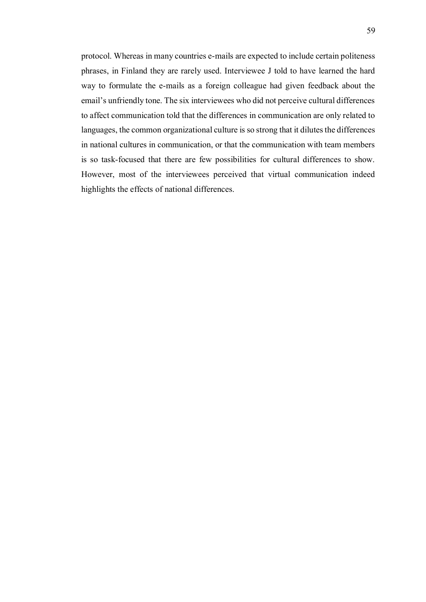protocol. Whereas in many countries e-mails are expected to include certain politeness phrases, in Finland they are rarely used. Interviewee J told to have learned the hard way to formulate the e-mails as a foreign colleague had given feedback about the email's unfriendly tone. The six interviewees who did not perceive cultural differences to affect communication told that the differences in communication are only related to languages, the common organizational culture is so strong that it dilutes the differences in national cultures in communication, or that the communication with team members is so task-focused that there are few possibilities for cultural differences to show. However, most of the interviewees perceived that virtual communication indeed highlights the effects of national differences.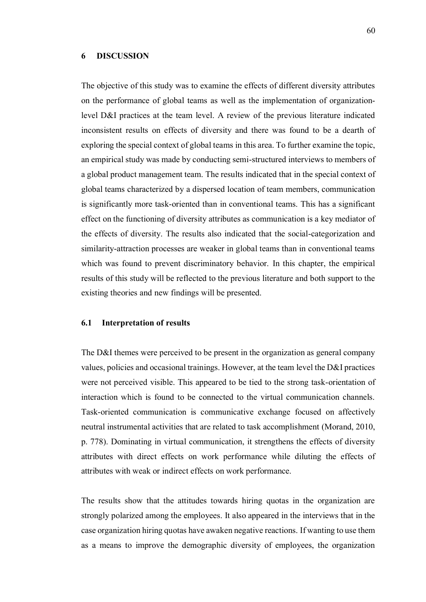#### **6 DISCUSSION**

The objective of this study was to examine the effects of different diversity attributes on the performance of global teams as well as the implementation of organizationlevel D&I practices at the team level. A review of the previous literature indicated inconsistent results on effects of diversity and there was found to be a dearth of exploring the special context of global teams in this area. To further examine the topic, an empirical study was made by conducting semi-structured interviews to members of a global product management team. The results indicated that in the special context of global teams characterized by a dispersed location of team members, communication is significantly more task-oriented than in conventional teams. This has a significant effect on the functioning of diversity attributes as communication is a key mediator of the effects of diversity. The results also indicated that the social-categorization and similarity-attraction processes are weaker in global teams than in conventional teams which was found to prevent discriminatory behavior. In this chapter, the empirical results of this study will be reflected to the previous literature and both support to the existing theories and new findings will be presented.

### **6.1 Interpretation of results**

The D&I themes were perceived to be present in the organization as general company values, policies and occasional trainings. However, at the team level the D&I practices were not perceived visible. This appeared to be tied to the strong task-orientation of interaction which is found to be connected to the virtual communication channels. Task-oriented communication is communicative exchange focused on affectively neutral instrumental activities that are related to task accomplishment (Morand, 2010, p. 778). Dominating in virtual communication, it strengthens the effects of diversity attributes with direct effects on work performance while diluting the effects of attributes with weak or indirect effects on work performance.

The results show that the attitudes towards hiring quotas in the organization are strongly polarized among the employees. It also appeared in the interviews that in the case organization hiring quotas have awaken negative reactions. If wanting to use them as a means to improve the demographic diversity of employees, the organization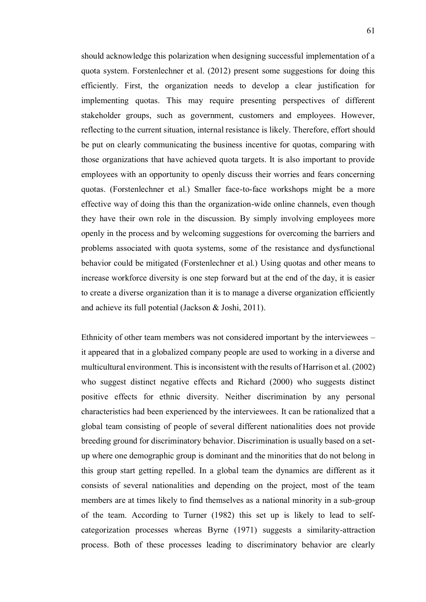should acknowledge this polarization when designing successful implementation of a quota system. Forstenlechner et al. (2012) present some suggestions for doing this efficiently. First, the organization needs to develop a clear justification for implementing quotas. This may require presenting perspectives of different stakeholder groups, such as government, customers and employees. However, reflecting to the current situation, internal resistance is likely. Therefore, effort should be put on clearly communicating the business incentive for quotas, comparing with those organizations that have achieved quota targets. It is also important to provide employees with an opportunity to openly discuss their worries and fears concerning quotas. (Forstenlechner et al.) Smaller face-to-face workshops might be a more effective way of doing this than the organization-wide online channels, even though they have their own role in the discussion. By simply involving employees more openly in the process and by welcoming suggestions for overcoming the barriers and problems associated with quota systems, some of the resistance and dysfunctional behavior could be mitigated (Forstenlechner et al.) Using quotas and other means to increase workforce diversity is one step forward but at the end of the day, it is easier to create a diverse organization than it is to manage a diverse organization efficiently and achieve its full potential (Jackson & Joshi, 2011).

Ethnicity of other team members was not considered important by the interviewees – it appeared that in a globalized company people are used to working in a diverse and multicultural environment. This is inconsistent with the results of Harrison et al. (2002) who suggest distinct negative effects and Richard (2000) who suggests distinct positive effects for ethnic diversity. Neither discrimination by any personal characteristics had been experienced by the interviewees. It can be rationalized that a global team consisting of people of several different nationalities does not provide breeding ground for discriminatory behavior. Discrimination is usually based on a setup where one demographic group is dominant and the minorities that do not belong in this group start getting repelled. In a global team the dynamics are different as it consists of several nationalities and depending on the project, most of the team members are at times likely to find themselves as a national minority in a sub-group of the team. According to Turner (1982) this set up is likely to lead to selfcategorization processes whereas Byrne (1971) suggests a similarity-attraction process. Both of these processes leading to discriminatory behavior are clearly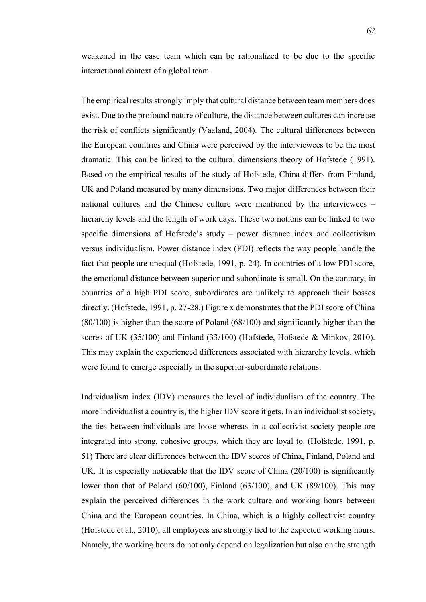weakened in the case team which can be rationalized to be due to the specific interactional context of a global team.

The empirical results strongly imply that cultural distance between team members does exist. Due to the profound nature of culture, the distance between cultures can increase the risk of conflicts significantly (Vaaland, 2004). The cultural differences between the European countries and China were perceived by the interviewees to be the most dramatic. This can be linked to the cultural dimensions theory of Hofstede (1991). Based on the empirical results of the study of Hofstede, China differs from Finland, UK and Poland measured by many dimensions. Two major differences between their national cultures and the Chinese culture were mentioned by the interviewees – hierarchy levels and the length of work days. These two notions can be linked to two specific dimensions of Hofstede's study – power distance index and collectivism versus individualism. Power distance index (PDI) reflects the way people handle the fact that people are unequal (Hofstede, 1991, p. 24). In countries of a low PDI score, the emotional distance between superior and subordinate is small. On the contrary, in countries of a high PDI score, subordinates are unlikely to approach their bosses directly. (Hofstede, 1991, p. 27-28.) Figure x demonstrates that the PDI score of China (80/100) is higher than the score of Poland (68/100) and significantly higher than the scores of UK (35/100) and Finland (33/100) (Hofstede, Hofstede & Minkov, 2010). This may explain the experienced differences associated with hierarchy levels, which were found to emerge especially in the superior-subordinate relations.

Individualism index (IDV) measures the level of individualism of the country. The more individualist a country is, the higher IDV score it gets. In an individualist society, the ties between individuals are loose whereas in a collectivist society people are integrated into strong, cohesive groups, which they are loyal to. (Hofstede, 1991, p. 51) There are clear differences between the IDV scores of China, Finland, Poland and UK. It is especially noticeable that the IDV score of China (20/100) is significantly lower than that of Poland (60/100), Finland (63/100), and UK (89/100). This may explain the perceived differences in the work culture and working hours between China and the European countries. In China, which is a highly collectivist country (Hofstede et al., 2010), all employees are strongly tied to the expected working hours. Namely, the working hours do not only depend on legalization but also on the strength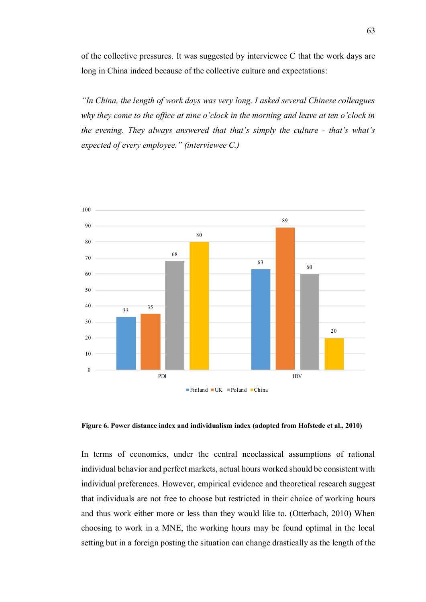of the collective pressures. It was suggested by interviewee C that the work days are long in China indeed because of the collective culture and expectations:

*"In China, the length of work days was very long. I asked several Chinese colleagues why they come to the office at nine o'clock in the morning and leave at ten o'clock in the evening. They always answered that that's simply the culture - that's what's expected of every employee." (interviewee C.)*



 **Figure 6. Power distance index and individualism index (adopted from Hofstede et al., 2010)**

In terms of economics, under the central neoclassical assumptions of rational individual behavior and perfect markets, actual hours worked should be consistent with individual preferences. However, empirical evidence and theoretical research suggest that individuals are not free to choose but restricted in their choice of working hours and thus work either more or less than they would like to. (Otterbach, 2010) When choosing to work in a MNE, the working hours may be found optimal in the local setting but in a foreign posting the situation can change drastically as the length of the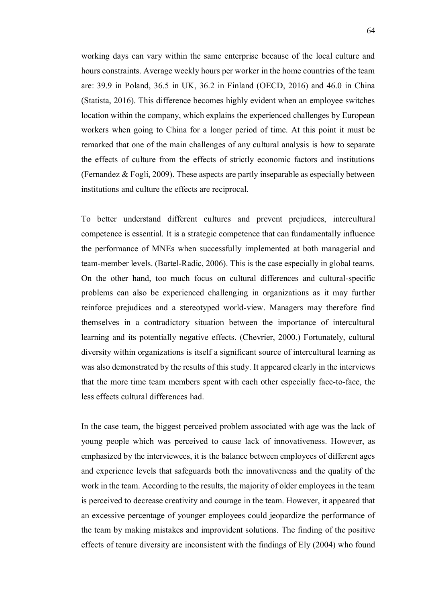working days can vary within the same enterprise because of the local culture and hours constraints. Average weekly hours per worker in the home countries of the team are: 39.9 in Poland, 36.5 in UK, 36.2 in Finland (OECD, 2016) and 46.0 in China (Statista, 2016). This difference becomes highly evident when an employee switches location within the company, which explains the experienced challenges by European workers when going to China for a longer period of time. At this point it must be remarked that one of the main challenges of any cultural analysis is how to separate the effects of culture from the effects of strictly economic factors and institutions (Fernandez & Fogli, 2009). These aspects are partly inseparable as especially between institutions and culture the effects are reciprocal.

To better understand different cultures and prevent prejudices, intercultural competence is essential. It is a strategic competence that can fundamentally influence the performance of MNEs when successfully implemented at both managerial and team-member levels. (Bartel-Radic, 2006). This is the case especially in global teams. On the other hand, too much focus on cultural differences and cultural-specific problems can also be experienced challenging in organizations as it may further reinforce prejudices and a stereotyped world-view. Managers may therefore find themselves in a contradictory situation between the importance of intercultural learning and its potentially negative effects. (Chevrier, 2000.) Fortunately, cultural diversity within organizations is itself a significant source of intercultural learning as was also demonstrated by the results of this study. It appeared clearly in the interviews that the more time team members spent with each other especially face-to-face, the less effects cultural differences had.

In the case team, the biggest perceived problem associated with age was the lack of young people which was perceived to cause lack of innovativeness. However, as emphasized by the interviewees, it is the balance between employees of different ages and experience levels that safeguards both the innovativeness and the quality of the work in the team. According to the results, the majority of older employees in the team is perceived to decrease creativity and courage in the team. However, it appeared that an excessive percentage of younger employees could jeopardize the performance of the team by making mistakes and improvident solutions. The finding of the positive effects of tenure diversity are inconsistent with the findings of Ely (2004) who found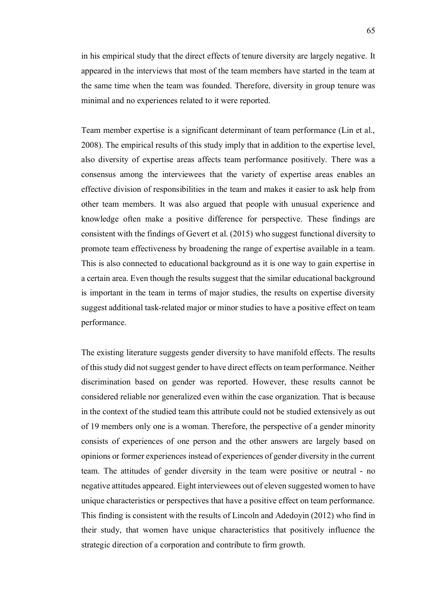in his empirical study that the direct effects of tenure diversity are largely negative. It appeared in the interviews that most of the team members have started in the team at the same time when the team was founded. Therefore, diversity in group tenure was minimal and no experiences related to it were reported.

Team member expertise is a significant determinant of team performance (Lin et al., 2008). The empirical results of this study imply that in addition to the expertise level, also diversity of expertise areas affects team performance positively. There was a consensus among the interviewees that the variety of expertise areas enables an effective division of responsibilities in the team and makes it easier to ask help from other team members. It was also argued that people with unusual experience and knowledge often make a positive difference for perspective. These findings are consistent with the findings of Gevert et al. (2015) who suggest functional diversity to promote team effectiveness by broadening the range of expertise available in a team. This is also connected to educational background as it is one way to gain expertise in a certain area. Even though the results suggest that the similar educational background is important in the team in terms of major studies, the results on expertise diversity suggest additional task-related major or minor studies to have a positive effect on team performance.

The existing literature suggests gender diversity to have manifold effects. The results of this study did not suggest gender to have direct effects on team performance. Neither discrimination based on gender was reported. However, these results cannot be considered reliable nor generalized even within the case organization. That is because in the context of the studied team this attribute could not be studied extensively as out of 19 members only one is a woman. Therefore, the perspective of a gender minority consists of experiences of one person and the other answers are largely based on opinions or former experiences instead of experiences of gender diversity in the current team. The attitudes of gender diversity in the team were positive or neutral - no negative attitudes appeared. Eight interviewees out of eleven suggested women to have unique characteristics or perspectives that have a positive effect on team performance. This finding is consistent with the results of Lincoln and Adedoyin (2012) who find in their study, that women have unique characteristics that positively influence the strategic direction of a corporation and contribute to firm growth.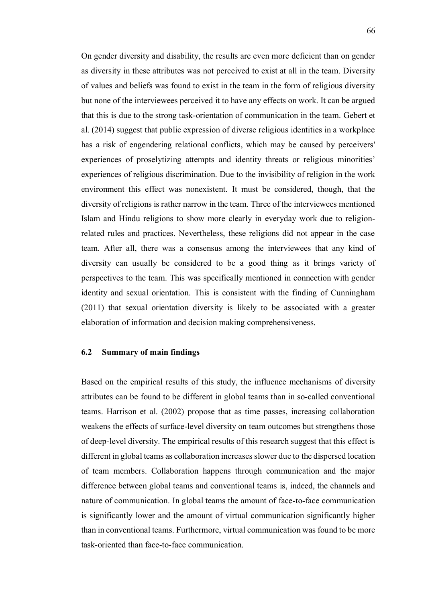On gender diversity and disability, the results are even more deficient than on gender as diversity in these attributes was not perceived to exist at all in the team. Diversity of values and beliefs was found to exist in the team in the form of religious diversity but none of the interviewees perceived it to have any effects on work. It can be argued that this is due to the strong task-orientation of communication in the team. Gebert et al. (2014) suggest that public expression of diverse religious identities in a workplace has a risk of engendering relational conflicts, which may be caused by perceivers' experiences of proselytizing attempts and identity threats or religious minorities' experiences of religious discrimination. Due to the invisibility of religion in the work environment this effect was nonexistent. It must be considered, though, that the diversity of religions is rather narrow in the team. Three of the interviewees mentioned Islam and Hindu religions to show more clearly in everyday work due to religionrelated rules and practices. Nevertheless, these religions did not appear in the case team. After all, there was a consensus among the interviewees that any kind of diversity can usually be considered to be a good thing as it brings variety of perspectives to the team. This was specifically mentioned in connection with gender identity and sexual orientation. This is consistent with the finding of Cunningham (2011) that sexual orientation diversity is likely to be associated with a greater elaboration of information and decision making comprehensiveness.

### **6.2 Summary of main findings**

Based on the empirical results of this study, the influence mechanisms of diversity attributes can be found to be different in global teams than in so-called conventional teams. Harrison et al. (2002) propose that as time passes, increasing collaboration weakens the effects of surface-level diversity on team outcomes but strengthens those of deep-level diversity. The empirical results of this research suggest that this effect is different in global teams as collaboration increases slower due to the dispersed location of team members. Collaboration happens through communication and the major difference between global teams and conventional teams is, indeed, the channels and nature of communication. In global teams the amount of face-to-face communication is significantly lower and the amount of virtual communication significantly higher than in conventional teams. Furthermore, virtual communication was found to be more task-oriented than face-to-face communication.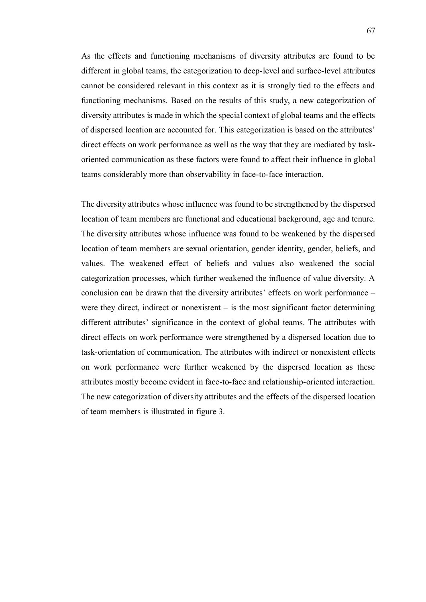As the effects and functioning mechanisms of diversity attributes are found to be different in global teams, the categorization to deep-level and surface-level attributes cannot be considered relevant in this context as it is strongly tied to the effects and functioning mechanisms. Based on the results of this study, a new categorization of diversity attributes is made in which the special context of global teams and the effects of dispersed location are accounted for. This categorization is based on the attributes' direct effects on work performance as well as the way that they are mediated by taskoriented communication as these factors were found to affect their influence in global teams considerably more than observability in face-to-face interaction.

The diversity attributes whose influence was found to be strengthened by the dispersed location of team members are functional and educational background, age and tenure. The diversity attributes whose influence was found to be weakened by the dispersed location of team members are sexual orientation, gender identity, gender, beliefs, and values. The weakened effect of beliefs and values also weakened the social categorization processes, which further weakened the influence of value diversity. A conclusion can be drawn that the diversity attributes' effects on work performance – were they direct, indirect or nonexistent  $-$  is the most significant factor determining different attributes' significance in the context of global teams. The attributes with direct effects on work performance were strengthened by a dispersed location due to task-orientation of communication. The attributes with indirect or nonexistent effects on work performance were further weakened by the dispersed location as these attributes mostly become evident in face-to-face and relationship-oriented interaction. The new categorization of diversity attributes and the effects of the dispersed location of team members is illustrated in figure 3.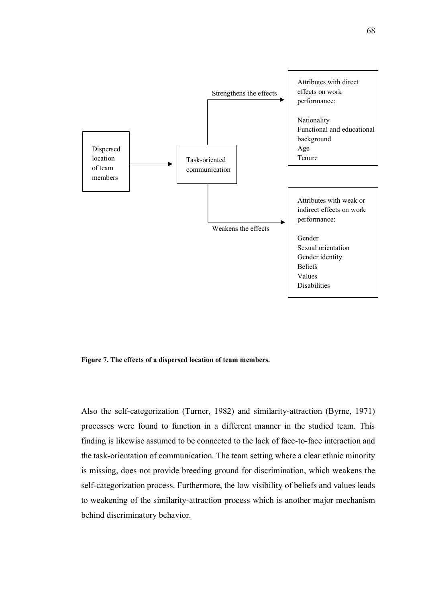

**Figure 7. The effects of a dispersed location of team members.**

Also the self-categorization (Turner, 1982) and similarity-attraction (Byrne, 1971) processes were found to function in a different manner in the studied team. This finding is likewise assumed to be connected to the lack of face-to-face interaction and the task-orientation of communication. The team setting where a clear ethnic minority is missing, does not provide breeding ground for discrimination, which weakens the self-categorization process. Furthermore, the low visibility of beliefs and values leads to weakening of the similarity-attraction process which is another major mechanism behind discriminatory behavior.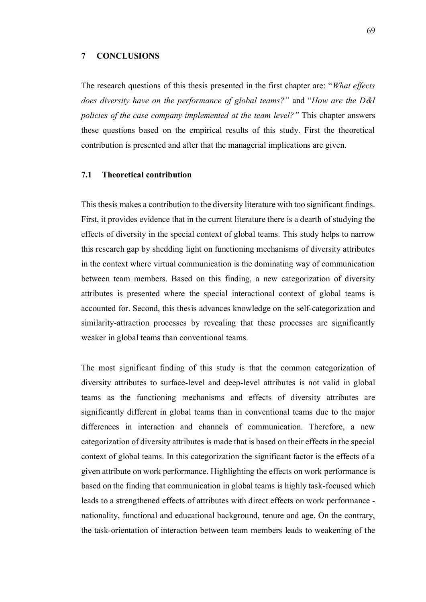## **7 CONCLUSIONS**

The research questions of this thesis presented in the first chapter are: "*What effects does diversity have on the performance of global teams?"* and "*How are the D&I policies of the case company implemented at the team level?"* This chapter answers these questions based on the empirical results of this study. First the theoretical contribution is presented and after that the managerial implications are given.

### **7.1 Theoretical contribution**

This thesis makes a contribution to the diversity literature with too significant findings. First, it provides evidence that in the current literature there is a dearth of studying the effects of diversity in the special context of global teams. This study helps to narrow this research gap by shedding light on functioning mechanisms of diversity attributes in the context where virtual communication is the dominating way of communication between team members. Based on this finding, a new categorization of diversity attributes is presented where the special interactional context of global teams is accounted for. Second, this thesis advances knowledge on the self-categorization and similarity-attraction processes by revealing that these processes are significantly weaker in global teams than conventional teams.

The most significant finding of this study is that the common categorization of diversity attributes to surface-level and deep-level attributes is not valid in global teams as the functioning mechanisms and effects of diversity attributes are significantly different in global teams than in conventional teams due to the major differences in interaction and channels of communication. Therefore, a new categorization of diversity attributes is made that is based on their effects in the special context of global teams. In this categorization the significant factor is the effects of a given attribute on work performance. Highlighting the effects on work performance is based on the finding that communication in global teams is highly task-focused which leads to a strengthened effects of attributes with direct effects on work performance nationality, functional and educational background, tenure and age. On the contrary, the task-orientation of interaction between team members leads to weakening of the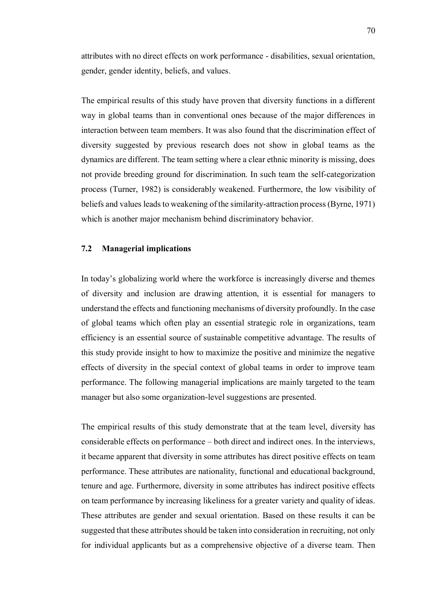attributes with no direct effects on work performance - disabilities, sexual orientation, gender, gender identity, beliefs, and values.

The empirical results of this study have proven that diversity functions in a different way in global teams than in conventional ones because of the major differences in interaction between team members. It was also found that the discrimination effect of diversity suggested by previous research does not show in global teams as the dynamics are different. The team setting where a clear ethnic minority is missing, does not provide breeding ground for discrimination. In such team the self-categorization process (Turner, 1982) is considerably weakened. Furthermore, the low visibility of beliefs and values leads to weakening of the similarity-attraction process (Byrne, 1971) which is another major mechanism behind discriminatory behavior.

# **7.2 Managerial implications**

In today's globalizing world where the workforce is increasingly diverse and themes of diversity and inclusion are drawing attention, it is essential for managers to understand the effects and functioning mechanisms of diversity profoundly. In the case of global teams which often play an essential strategic role in organizations, team efficiency is an essential source of sustainable competitive advantage. The results of this study provide insight to how to maximize the positive and minimize the negative effects of diversity in the special context of global teams in order to improve team performance. The following managerial implications are mainly targeted to the team manager but also some organization-level suggestions are presented.

The empirical results of this study demonstrate that at the team level, diversity has considerable effects on performance – both direct and indirect ones. In the interviews, it became apparent that diversity in some attributes has direct positive effects on team performance. These attributes are nationality, functional and educational background, tenure and age. Furthermore, diversity in some attributes has indirect positive effects on team performance by increasing likeliness for a greater variety and quality of ideas. These attributes are gender and sexual orientation. Based on these results it can be suggested that these attributes should be taken into consideration in recruiting, not only for individual applicants but as a comprehensive objective of a diverse team. Then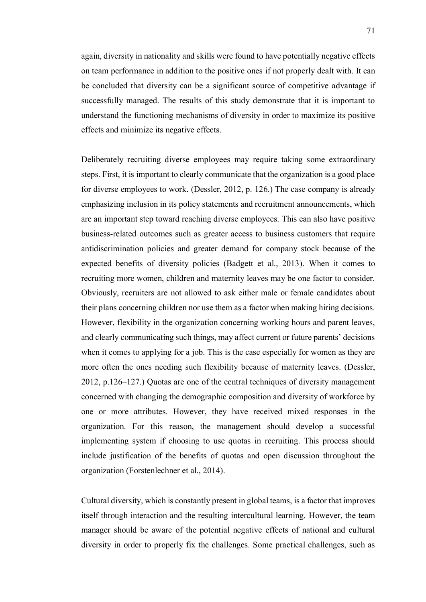again, diversity in nationality and skills were found to have potentially negative effects on team performance in addition to the positive ones if not properly dealt with. It can be concluded that diversity can be a significant source of competitive advantage if successfully managed. The results of this study demonstrate that it is important to understand the functioning mechanisms of diversity in order to maximize its positive effects and minimize its negative effects.

Deliberately recruiting diverse employees may require taking some extraordinary steps. First, it is important to clearly communicate that the organization is a good place for diverse employees to work. (Dessler, 2012, p. 126.) The case company is already emphasizing inclusion in its policy statements and recruitment announcements, which are an important step toward reaching diverse employees. This can also have positive business-related outcomes such as greater access to business customers that require antidiscrimination policies and greater demand for company stock because of the expected benefits of diversity policies (Badgett et al., 2013). When it comes to recruiting more women, children and maternity leaves may be one factor to consider. Obviously, recruiters are not allowed to ask either male or female candidates about their plans concerning children nor use them as a factor when making hiring decisions. However, flexibility in the organization concerning working hours and parent leaves, and clearly communicating such things, may affect current or future parents' decisions when it comes to applying for a job. This is the case especially for women as they are more often the ones needing such flexibility because of maternity leaves. (Dessler, 2012, p.126–127.) Quotas are one of the central techniques of diversity management concerned with changing the demographic composition and diversity of workforce by one or more attributes. However, they have received mixed responses in the organization. For this reason, the management should develop a successful implementing system if choosing to use quotas in recruiting. This process should include justification of the benefits of quotas and open discussion throughout the organization (Forstenlechner et al., 2014).

Cultural diversity, which is constantly present in global teams, is a factor that improves itself through interaction and the resulting intercultural learning. However, the team manager should be aware of the potential negative effects of national and cultural diversity in order to properly fix the challenges. Some practical challenges, such as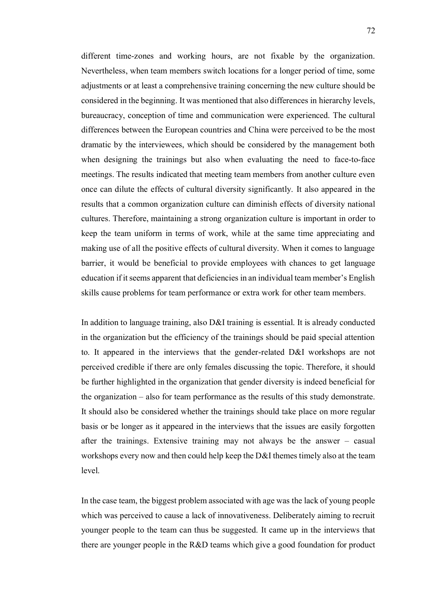different time-zones and working hours, are not fixable by the organization. Nevertheless, when team members switch locations for a longer period of time, some adjustments or at least a comprehensive training concerning the new culture should be considered in the beginning. It was mentioned that also differences in hierarchy levels, bureaucracy, conception of time and communication were experienced. The cultural differences between the European countries and China were perceived to be the most dramatic by the interviewees, which should be considered by the management both when designing the trainings but also when evaluating the need to face-to-face meetings. The results indicated that meeting team members from another culture even once can dilute the effects of cultural diversity significantly. It also appeared in the results that a common organization culture can diminish effects of diversity national cultures. Therefore, maintaining a strong organization culture is important in order to keep the team uniform in terms of work, while at the same time appreciating and making use of all the positive effects of cultural diversity. When it comes to language barrier, it would be beneficial to provide employees with chances to get language education if it seems apparent that deficiencies in an individual team member's English skills cause problems for team performance or extra work for other team members.

In addition to language training, also D&I training is essential. It is already conducted in the organization but the efficiency of the trainings should be paid special attention to. It appeared in the interviews that the gender-related D&I workshops are not perceived credible if there are only females discussing the topic. Therefore, it should be further highlighted in the organization that gender diversity is indeed beneficial for the organization – also for team performance as the results of this study demonstrate. It should also be considered whether the trainings should take place on more regular basis or be longer as it appeared in the interviews that the issues are easily forgotten after the trainings. Extensive training may not always be the answer – casual workshops every now and then could help keep the D&I themes timely also at the team level.

In the case team, the biggest problem associated with age was the lack of young people which was perceived to cause a lack of innovativeness. Deliberately aiming to recruit younger people to the team can thus be suggested. It came up in the interviews that there are younger people in the R&D teams which give a good foundation for product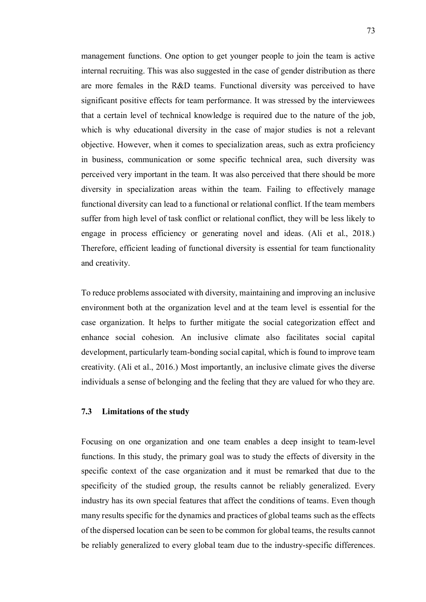management functions. One option to get younger people to join the team is active internal recruiting. This was also suggested in the case of gender distribution as there are more females in the R&D teams. Functional diversity was perceived to have significant positive effects for team performance. It was stressed by the interviewees that a certain level of technical knowledge is required due to the nature of the job, which is why educational diversity in the case of major studies is not a relevant objective. However, when it comes to specialization areas, such as extra proficiency in business, communication or some specific technical area, such diversity was perceived very important in the team. It was also perceived that there should be more diversity in specialization areas within the team. Failing to effectively manage functional diversity can lead to a functional or relational conflict. If the team members suffer from high level of task conflict or relational conflict, they will be less likely to engage in process efficiency or generating novel and ideas. (Ali et al., 2018.) Therefore, efficient leading of functional diversity is essential for team functionality and creativity.

To reduce problems associated with diversity, maintaining and improving an inclusive environment both at the organization level and at the team level is essential for the case organization. It helps to further mitigate the social categorization effect and enhance social cohesion. An inclusive climate also facilitates social capital development, particularly team-bonding social capital, which is found to improve team creativity. (Ali et al., 2016.) Most importantly, an inclusive climate gives the diverse individuals a sense of belonging and the feeling that they are valued for who they are.

## **7.3 Limitations of the study**

Focusing on one organization and one team enables a deep insight to team-level functions. In this study, the primary goal was to study the effects of diversity in the specific context of the case organization and it must be remarked that due to the specificity of the studied group, the results cannot be reliably generalized. Every industry has its own special features that affect the conditions of teams. Even though many results specific for the dynamics and practices of global teams such as the effects of the dispersed location can be seen to be common for global teams, the results cannot be reliably generalized to every global team due to the industry-specific differences.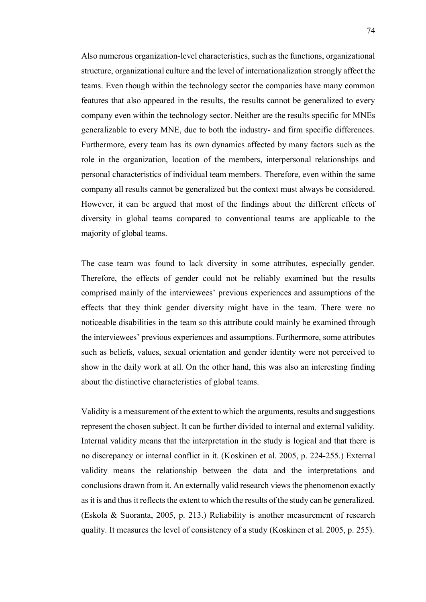Also numerous organization-level characteristics, such as the functions, organizational structure, organizational culture and the level of internationalization strongly affect the teams. Even though within the technology sector the companies have many common features that also appeared in the results, the results cannot be generalized to every company even within the technology sector. Neither are the results specific for MNEs generalizable to every MNE, due to both the industry- and firm specific differences. Furthermore, every team has its own dynamics affected by many factors such as the role in the organization, location of the members, interpersonal relationships and personal characteristics of individual team members. Therefore, even within the same company all results cannot be generalized but the context must always be considered. However, it can be argued that most of the findings about the different effects of diversity in global teams compared to conventional teams are applicable to the majority of global teams.

The case team was found to lack diversity in some attributes, especially gender. Therefore, the effects of gender could not be reliably examined but the results comprised mainly of the interviewees' previous experiences and assumptions of the effects that they think gender diversity might have in the team. There were no noticeable disabilities in the team so this attribute could mainly be examined through the interviewees' previous experiences and assumptions. Furthermore, some attributes such as beliefs, values, sexual orientation and gender identity were not perceived to show in the daily work at all. On the other hand, this was also an interesting finding about the distinctive characteristics of global teams.

Validity is a measurement of the extent to which the arguments, results and suggestions represent the chosen subject. It can be further divided to internal and external validity. Internal validity means that the interpretation in the study is logical and that there is no discrepancy or internal conflict in it. (Koskinen et al. 2005, p. 224-255.) External validity means the relationship between the data and the interpretations and conclusions drawn from it. An externally valid research views the phenomenon exactly as it is and thus it reflects the extent to which the results of the study can be generalized. (Eskola & Suoranta, 2005, p. 213.) Reliability is another measurement of research quality. It measures the level of consistency of a study (Koskinen et al. 2005, p. 255).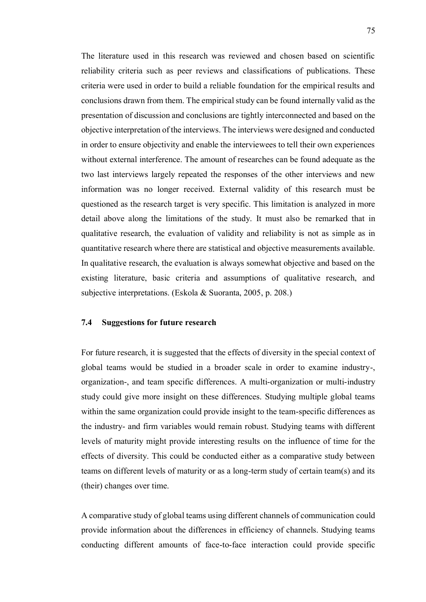The literature used in this research was reviewed and chosen based on scientific reliability criteria such as peer reviews and classifications of publications. These criteria were used in order to build a reliable foundation for the empirical results and conclusions drawn from them. The empirical study can be found internally valid as the presentation of discussion and conclusions are tightly interconnected and based on the objective interpretation of the interviews. The interviews were designed and conducted in order to ensure objectivity and enable the interviewees to tell their own experiences without external interference. The amount of researches can be found adequate as the two last interviews largely repeated the responses of the other interviews and new information was no longer received. External validity of this research must be questioned as the research target is very specific. This limitation is analyzed in more detail above along the limitations of the study. It must also be remarked that in qualitative research, the evaluation of validity and reliability is not as simple as in quantitative research where there are statistical and objective measurements available. In qualitative research, the evaluation is always somewhat objective and based on the existing literature, basic criteria and assumptions of qualitative research, and subjective interpretations. (Eskola & Suoranta, 2005, p. 208.)

## **7.4 Suggestions for future research**

For future research, it is suggested that the effects of diversity in the special context of global teams would be studied in a broader scale in order to examine industry-, organization-, and team specific differences. A multi-organization or multi-industry study could give more insight on these differences. Studying multiple global teams within the same organization could provide insight to the team-specific differences as the industry- and firm variables would remain robust. Studying teams with different levels of maturity might provide interesting results on the influence of time for the effects of diversity. This could be conducted either as a comparative study between teams on different levels of maturity or as a long-term study of certain team(s) and its (their) changes over time.

A comparative study of global teams using different channels of communication could provide information about the differences in efficiency of channels. Studying teams conducting different amounts of face-to-face interaction could provide specific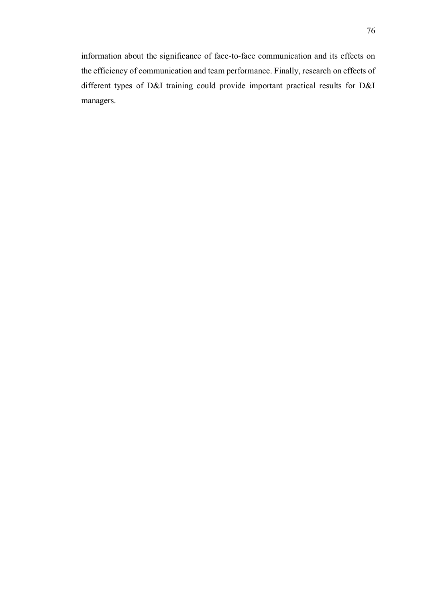information about the significance of face-to-face communication and its effects on the efficiency of communication and team performance. Finally, research on effects of different types of D&I training could provide important practical results for D&I managers.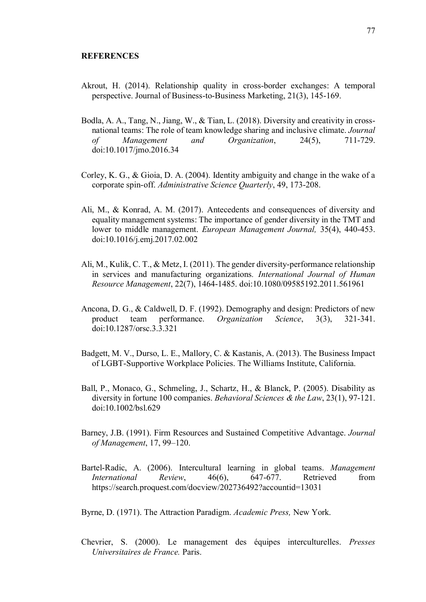- Akrout, H. (2014). Relationship quality in cross-border exchanges: A temporal perspective. Journal of Business-to-Business Marketing, 21(3), 145-169.
- Bodla, A. A., Tang, N., Jiang, W., & Tian, L. (2018). Diversity and creativity in cross national teams: The role of team knowledge sharing and inclusive climate. *Journal of Management and Organization*, 24(5), 711-729. doi:10.1017/jmo.2016.34
- Corley, K. G., & Gioia, D. A. (2004). Identity ambiguity and change in the wake of a corporate spin-off. *Administrative Science Quarterly*, 49, 173-208.
- Ali, M., & Konrad, A. M. (2017). Antecedents and consequences of diversity and equality management systems: The importance of gender diversity in the TMT and lower to middle management. *European Management Journal,* 35(4), 440-453. doi:10.1016/j.emj.2017.02.002
- Ali, M., Kulik, C. T., & Metz, I. (2011). The gender diversity-performance relationship in services and manufacturing organizations*. International Journal of Human Resource Management*, 22(7), 1464-1485. doi:10.1080/09585192.2011.561961
- Ancona, D. G., & Caldwell, D. F. (1992). Demography and design: Predictors of new product team performance. *Organization Science*, 3(3), 321-341. doi:10.1287/orsc.3.3.321
- Badgett, M. V., Durso, L. E., Mallory, C. & Kastanis, A. (2013). The Business Impact of LGBT-Supportive Workplace Policies. The Williams Institute, California.
- Ball, P., Monaco, G., Schmeling, J., Schartz, H., & Blanck, P. (2005). Disability as diversity in fortune 100 companies. *Behavioral Sciences & the Law*, 23(1), 97-121. doi:10.1002/bsl.629
- Barney, J.B. (1991). Firm Resources and Sustained Competitive Advantage. *Journal of Management*, 17, 99–120.
- Bartel-Radic, A. (2006). Intercultural learning in global teams. *Management International Review*, 46(6), 647-677. Retrieved from https://search.proquest.com/docview/202736492?accountid=13031

Byrne, D. (1971). The Attraction Paradigm. *Academic Press,* New York.

Chevrier, S. (2000). Le management des équipes interculturelles. *Presses Universitaires de France.* Paris.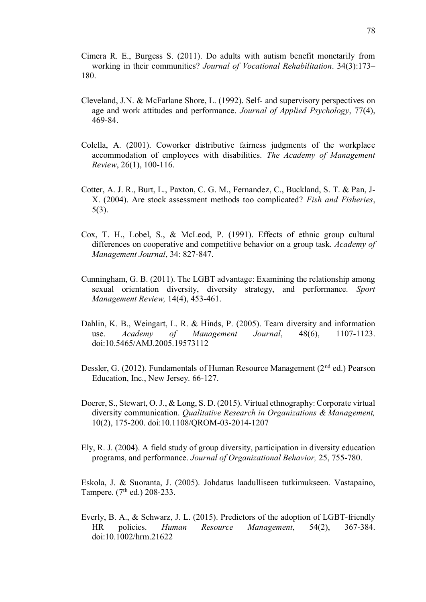Cimera R. E., Burgess S. (2011). Do adults with autism benefit monetarily from working in their communities? *Journal of Vocational Rehabilitation*. 34(3):173– 180.

- Cleveland, J.N. & McFarlane Shore, L. (1992). Self- and supervisory perspectives on age and work attitudes and performance. *Journal of Applied Psychology*, 77(4), 469-84.
- Colella, A. (2001). Coworker distributive fairness judgments of the workplace accommodation of employees with disabilities. *The Academy of Management Review*, 26(1), 100-116.
- Cotter, A. J. R., Burt, L., Paxton, C. G. M., Fernandez, C., Buckland, S. T. & Pan, J- X. (2004). Are stock assessment methods too complicated? *Fish and Fisheries*, 5(3).
- Cox, T. H., Lobel, S., & McLeod, P. (1991). Effects of ethnic group cultural differences on cooperative and competitive behavior on a group task*. Academy of Management Journal*, 34: 827-847.
- Cunningham, G. B. (2011). The LGBT advantage: Examining the relationship among sexual orientation diversity, diversity strategy, and performance. *Sport Management Review,* 14(4), 453-461.
- Dahlin, K. B., Weingart, L. R. & Hinds, P. (2005). Team diversity and information use. *Academy of Management Journal*, 48(6), 1107-1123. doi:10.5465/AMJ.2005.19573112
- Dessler, G. (2012). Fundamentals of Human Resource Management (2<sup>nd</sup> ed.) Pearson Education, Inc., New Jersey. 66-127.
- Doerer, S., Stewart, O. J., & Long, S. D. (2015). Virtual ethnography: Corporate virtual diversity communication. *Qualitative Research in Organizations & Management,* 10(2), 175-200. doi:10.1108/QROM-03-2014-1207
- Ely, R. J. (2004). A field study of group diversity, participation in diversity education programs, and performance. *Journal of Organizational Behavior,* 25, 755-780.

Eskola, J. & Suoranta, J. (2005). Johdatus laadulliseen tutkimukseen. Vastapaino, Tampere.  $(7<sup>th</sup>$  ed.) 208-233.

Everly, B. A., & Schwarz, J. L. (2015). Predictors of the adoption of LGBT-friendly HR policies. *Human Resource Management*, 54(2), 367-384. doi:10.1002/hrm.21622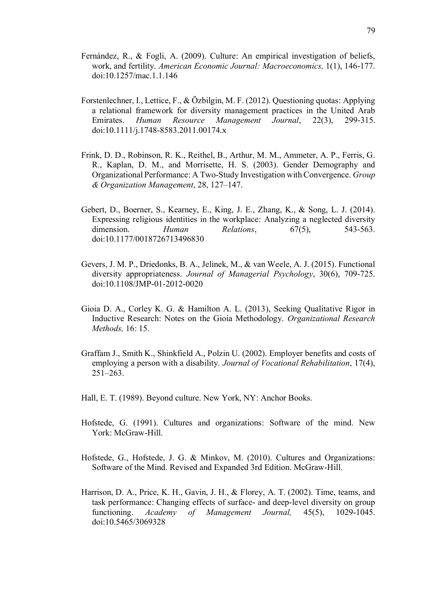- Fernández, R., & Fogli, A. (2009). Culture: An empirical investigation of beliefs, work, and fertility. *American Economic Journal: Macroeconomics,* 1(1), 146-177. doi:10.1257/mac.1.1.146
- Forstenlechner, I., Lettice, F., & Özbilgin, M. F. (2012). Questioning quotas: Applying a relational framework for diversity management practices in the United Arab Emirates. *Human Resource Management Journal*, 22(3), 299-315. doi:10.1111/j.1748-8583.2011.00174.x
- Frink, D. D., Robinson, R. K., Reithel, B., Arthur, M. M., Ammeter, A. P., Ferris, G. R., Kaplan, D. M., and Morrisette, H. S. (2003). Gender Demography and Organizational Performance: A Two-Study Investigation with Convergence. *Group & Organization Management*, 28, 127–147.
- Gebert, D., Boerner, S., Kearney, E., King, J. E., Zhang, K., & Song, L. J. (2014). Expressing religious identities in the workplace: Analyzing a neglected diversity dimension. *Human Relations*, 67(5), 543-563. doi:10.1177/0018726713496830
- Gevers, J. M. P., Driedonks, B. A., Jelinek, M., & van Weele, A. J. (2015). Functional diversity appropriateness. *Journal of Managerial Psychology*, 30(6), 709-725. doi:10.1108/JMP-01-2012-0020
- Gioia D. A., Corley K. G. & Hamilton A. L. (2013), Seeking Qualitative Rigor in Inductive Research: Notes on the Gioia Methodology. *Organizational Research Methods,* 16: 15.
- Graffam J., Smith K., Shinkfield A., Polzin U. (2002). Employer benefits and costs of employing a person with a disability. *Journal of Vocational Rehabilitation*, 17(4), 251–263.
- Hall, E. T. (1989). Beyond culture. New York, NY: Anchor Books.
- Hofstede, G. (1991). Cultures and organizations: Software of the mind. New York: McGraw-Hill.
- Hofstede, G., Hofstede, J. G. & Minkov, M. (2010). Cultures and Organizations: Software of the Mind. Revised and Expanded 3rd Edition. McGraw-Hill.
- Harrison, D. A., Price, K. H., Gavin, J. H., & Florey, A. T. (2002). Time, teams, and task performance: Changing effects of surface- and deep-level diversity on group functioning. *Academy of Management Journal,* 45(5), 1029-1045. doi:10.5465/3069328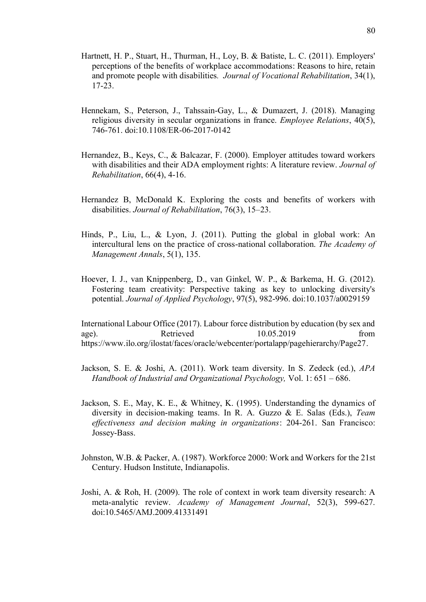- Hartnett, H. P., Stuart, H., Thurman, H., Loy, B. & Batiste, L. C. (2011). Employers' perceptions of the benefits of workplace accommodations: Reasons to hire, retain and promote people with disabilities*. Journal of Vocational Rehabilitation*, 34(1), 17-23.
- Hennekam, S., Peterson, J., Tahssain-Gay, L., & Dumazert, J. (2018). Managing religious diversity in secular organizations in france. *Employee Relations*, 40(5), 746-761. doi:10.1108/ER-06-2017-0142
- Hernandez, B., Keys, C., & Balcazar, F. (2000). Employer attitudes toward workers with disabilities and their ADA employment rights: A literature review. *Journal of Rehabilitation*, 66(4), 4-16.
- Hernandez B, McDonald K. Exploring the costs and benefits of workers with disabilities. *Journal of Rehabilitation*, 76(3), 15–23.
- Hinds, P., Liu, L., & Lyon, J. (2011). Putting the global in global work: An intercultural lens on the practice of cross-national collaboration. *The Academy of Management Annals*, 5(1), 135.
- Hoever, I. J., van Knippenberg, D., van Ginkel, W. P., & Barkema, H. G. (2012). Fostering team creativity: Perspective taking as key to unlocking diversity's potential. *Journal of Applied Psychology*, 97(5), 982-996. doi:10.1037/a0029159

International Labour Office (2017). Labour force distribution by education (by sex and age). Retrieved 10.05.2019 from https://www.ilo.org/ilostat/faces/oracle/webcenter/portalapp/pagehierarchy/Page27.

- Jackson, S. E. & Joshi, A. (2011). Work team diversity. In S. Zedeck (ed.), *APA Handbook of Industrial and Organizational Psychology,* Vol. 1: 651 – 686.
- Jackson, S. E., May, K. E., & Whitney, K. (1995). Understanding the dynamics of diversity in decision-making teams. In R. A. Guzzo & E. Salas (Eds.), *Team effectiveness and decision making in organizations*: 204-261. San Francisco: Jossey-Bass.
- Johnston, W.B. & Packer, A. (1987). Workforce 2000: Work and Workers for the 21st Century. Hudson Institute, Indianapolis.
- Joshi, A. & Roh, H. (2009). The role of context in work team diversity research: A meta-analytic review. *Academy of Management Journal*, 52(3), 599-627. doi:10.5465/AMJ.2009.41331491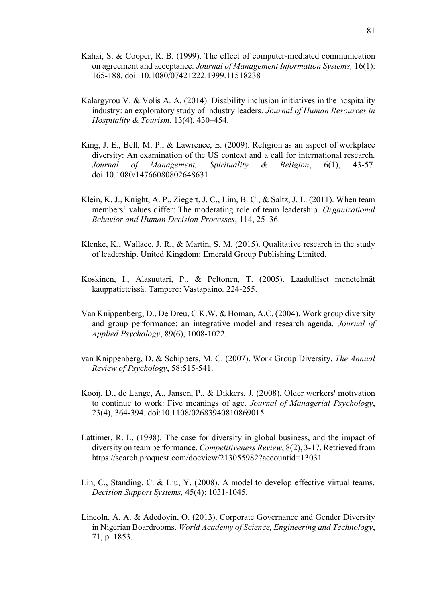- Kahai, S. & Cooper, R. B. (1999). The effect of computer-mediated communication on agreement and acceptance. *Journal of Management Information Systems,* 16(1): 165-188. doi: 10.1080/07421222.1999.11518238
- Kalargyrou V. & Volis A. A. (2014). Disability inclusion initiatives in the hospitality industry: an exploratory study of industry leaders. *Journal of Human Resources in Hospitality & Tourism*, 13(4), 430–454.
- King, J. E., Bell, M. P., & Lawrence, E. (2009). Religion as an aspect of workplace diversity: An examination of the US context and a call for international research. *Journal of Management, Spirituality & Religion*, 6(1), 43-57. doi:10.1080/14766080802648631
- Klein, K. J., Knight, A. P., Ziegert, J. C., Lim, B. C., & Saltz, J. L. (2011). When team members' values differ: The moderating role of team leadership. *Organizational Behavior and Human Decision Processes*, 114, 25–36.
- Klenke, K., Wallace, J. R., & Martin, S. M. (2015). Qualitative research in the study of leadership. United Kingdom: Emerald Group Publishing Limited.
- Koskinen, I., Alasuutari, P., & Peltonen, T. (2005). Laadulliset menetelmät kauppatieteissä. Tampere: Vastapaino. 224-255.
- Van Knippenberg, D., De Dreu, C.K.W. & Homan, A.C. (2004). Work group diversity and group performance: an integrative model and research agenda. *Journal of Applied Psychology*, 89(6), 1008-1022.
- van Knippenberg, D. & Schippers, M. C. (2007). Work Group Diversity. *The Annual Review of Psychology*, 58:515-541.
- Kooij, D., de Lange, A., Jansen, P., & Dikkers, J. (2008). Older workers' motivation to continue to work: Five meanings of age. *Journal of Managerial Psychology*, 23(4), 364-394. doi:10.1108/02683940810869015
- Lattimer, R. L. (1998). The case for diversity in global business, and the impact of diversity on team performance. *Competitiveness Review*, 8(2), 3-17. Retrieved from https://search.proquest.com/docview/213055982?accountid=13031
- Lin, C., Standing, C. & Liu, Y. (2008). A model to develop effective virtual teams. *Decision Support Systems,* 45(4): 1031-1045.
- Lincoln, A. A. & Adedoyin, O. (2013). Corporate Governance and Gender Diversity in Nigerian Boardrooms. *World Academy of Science, Engineering and Technology*, 71, p. 1853.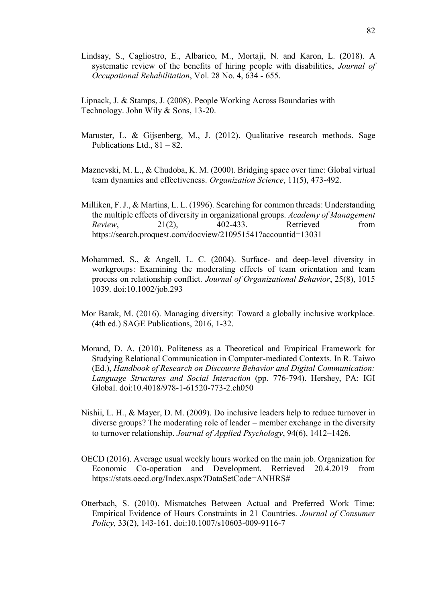Lindsay, S., Cagliostro, E., Albarico, M., Mortaji, N. and Karon, L. (2018). A systematic review of the benefits of hiring people with disabilities, *Journal of Occupational Rehabilitation*, Vol. 28 No. 4, 634 - 655.

Lipnack, J. & Stamps, J. (2008). People Working Across Boundaries with Technology. John Wily & Sons, 13-20.

- Maruster, L. & Gijsenberg, M., J. (2012). Qualitative research methods. Sage Publications Ltd.,  $81 - 82$ .
- Maznevski, M. L., & Chudoba, K. M. (2000). Bridging space over time: Global virtual team dynamics and effectiveness. *Organization Science*, 11(5), 473-492.
- Milliken, F. J., & Martins, L. L. (1996). Searching for common threads: Understanding the multiple effects of diversity in organizational groups. *Academy of Management Review*, 21(2), 402-433. Retrieved from https://search.proquest.com/docview/210951541?accountid=13031
- Mohammed, S., & Angell, L. C. (2004). Surface- and deep-level diversity in workgroups: Examining the moderating effects of team orientation and team process on relationship conflict. *Journal of Organizational Behavior*, 25(8), 1015 1039. doi:10.1002/job.293
- Mor Barak, M. (2016). Managing diversity: Toward a globally inclusive workplace. (4th ed.) SAGE Publications, 2016, 1-32.
- Morand, D. A. (2010). Politeness as a Theoretical and Empirical Framework for Studying Relational Communication in Computer-mediated Contexts. In R. Taiwo (Ed.), *Handbook of Research on Discourse Behavior and Digital Communication: Language Structures and Social Interaction* (pp. 776-794). Hershey, PA: IGI Global. doi:10.4018/978-1-61520-773-2.ch050
- Nishii, L. H., & Mayer, D. M. (2009). Do inclusive leaders help to reduce turnover in diverse groups? The moderating role of leader – member exchange in the diversity to turnover relationship. *Journal of Applied Psychology*, 94(6), 1412–1426.
- OECD (2016). Average usual weekly hours worked on the main job. Organization for Economic Co-operation and Development. Retrieved 20.4.2019 from https://stats.oecd.org/Index.aspx?DataSetCode=ANHRS#
- Otterbach, S. (2010). Mismatches Between Actual and Preferred Work Time: Empirical Evidence of Hours Constraints in 21 Countries. *Journal of Consumer Policy,* 33(2), 143-161. doi:10.1007/s10603-009-9116-7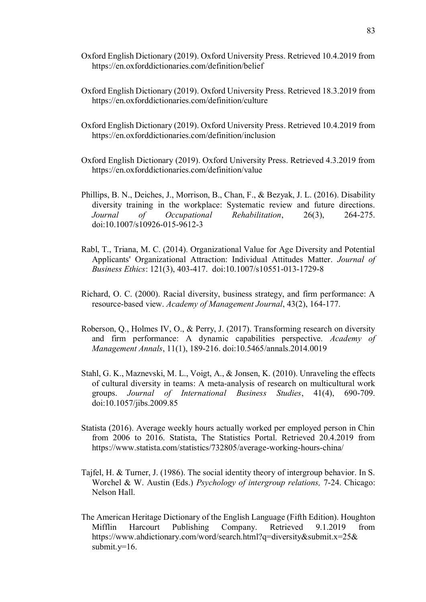- Oxford English Dictionary (2019). Oxford University Press. Retrieved 10.4.2019 from https://en.oxforddictionaries.com/definition/belief
- Oxford English Dictionary (2019). Oxford University Press. Retrieved 18.3.2019 from https://en.oxforddictionaries.com/definition/culture
- Oxford English Dictionary (2019). Oxford University Press. Retrieved 10.4.2019 from https://en.oxforddictionaries.com/definition/inclusion
- Oxford English Dictionary (2019). Oxford University Press. Retrieved 4.3.2019 from https://en.oxforddictionaries.com/definition/value
- Phillips, B. N., Deiches, J., Morrison, B., Chan, F., & Bezyak, J. L. (2016). Disability diversity training in the workplace: Systematic review and future directions. *Journal of Occupational Rehabilitation*, 26(3), 264-275. doi:10.1007/s10926-015-9612-3
- Rabl, T., Triana, M. C. (2014). Organizational Value for Age Diversity and Potential Applicants' Organizational Attraction: Individual Attitudes Matter. *Journal of Business Ethics*: 121(3), 403-417. doi:10.1007/s10551-013-1729-8
- Richard, O. C. (2000). Racial diversity, business strategy, and firm performance: A resource-based view. *Academy of Management Journal*, 43(2), 164-177.
- Roberson, Q., Holmes IV, O., & Perry, J. (2017). Transforming research on diversity and firm performance: A dynamic capabilities perspective. *Academy of Management Annals*, 11(1), 189-216. doi:10.5465/annals.2014.0019
- Stahl, G. K., Maznevski, M. L., Voigt, A., & Jonsen, K. (2010). Unraveling the effects of cultural diversity in teams: A meta-analysis of research on multicultural work groups. *Journal of International Business Studies*, 41(4), 690-709. doi:10.1057/jibs.2009.85
- Statista (2016). Average weekly hours actually worked per employed person in Chin from 2006 to 2016. Statista, The Statistics Portal. Retrieved 20.4.2019 from https://www.statista.com/statistics/732805/average-working-hours-china/
- Tajfel, H. & Turner, J. (1986). The social identity theory of intergroup behavior. In S. Worchel & W. Austin (Eds.) *Psychology of intergroup relations,* 7-24. Chicago: Nelson Hall.
- The American Heritage Dictionary of the English Language (Fifth Edition). Houghton Mifflin Harcourt Publishing Company. Retrieved 9.1.2019 from https://www.ahdictionary.com/word/search.html?q=diversity&submit.x=25& submit. $v=16$ .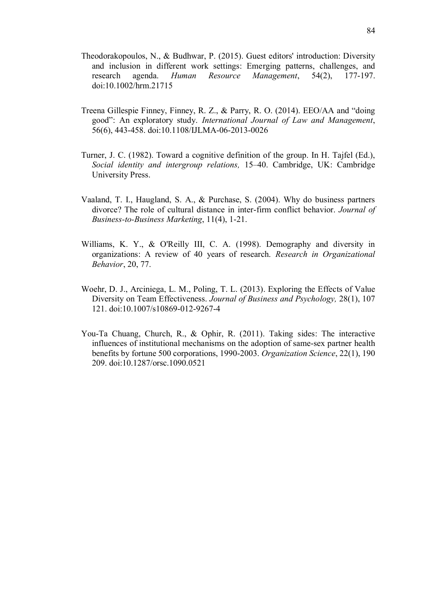- Theodorakopoulos, N., & Budhwar, P. (2015). Guest editors' introduction: Diversity and inclusion in different work settings: Emerging patterns, challenges, and research agenda. *Human Resource Management*, 54(2), 177-197. doi:10.1002/hrm.21715
- Treena Gillespie Finney, Finney, R. Z., & Parry, R. O. (2014). EEO/AA and "doing good": An exploratory study. *International Journal of Law and Management*, 56(6), 443-458. doi:10.1108/IJLMA-06-2013-0026
- Turner, J. C. (1982). Toward a cognitive definition of the group. In H. Tajfel (Ed.), *Social identity and intergroup relations,* 15–40. Cambridge, UK: Cambridge University Press.
- Vaaland, T. I., Haugland, S. A., & Purchase, S. (2004). Why do business partners divorce? The role of cultural distance in inter-firm conflict behavior. *Journal of Business-to-Business Marketing*, 11(4), 1-21.
- Williams, K. Y., & O'Reilly III, C. A. (1998). Demography and diversity in organizations: A review of 40 years of research. *Research in Organizational Behavior*, 20, 77.
- Woehr, D. J., Arciniega, L. M., Poling, T. L. (2013). Exploring the Effects of Value Diversity on Team Effectiveness. *Journal of Business and Psychology,* 28(1), 107 121. doi:10.1007/s10869-012-9267-4
- You-Ta Chuang, Church, R., & Ophir, R. (2011). Taking sides: The interactive influences of institutional mechanisms on the adoption of same-sex partner health benefits by fortune 500 corporations, 1990-2003. *Organization Science*, 22(1), 190 209. doi:10.1287/orsc.1090.0521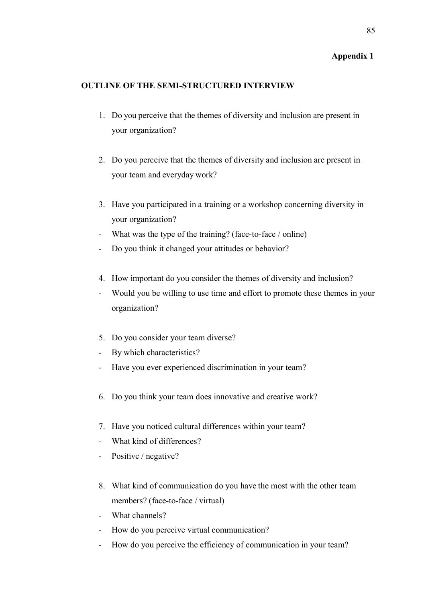## **Appendix 1**

## **OUTLINE OF THE SEMI-STRUCTURED INTERVIEW**

- 1. Do you perceive that the themes of diversity and inclusion are present in your organization?
- 2. Do you perceive that the themes of diversity and inclusion are present in your team and everyday work?
- 3. Have you participated in a training or a workshop concerning diversity in your organization?
- What was the type of the training? (face-to-face / online)
- Do you think it changed your attitudes or behavior?
- 4. How important do you consider the themes of diversity and inclusion?
- Would you be willing to use time and effort to promote these themes in your organization?
- 5. Do you consider your team diverse?
- By which characteristics?
- Have you ever experienced discrimination in your team?
- 6. Do you think your team does innovative and creative work?
- 7. Have you noticed cultural differences within your team?
- What kind of differences?
- Positive / negative?
- 8. What kind of communication do you have the most with the other team members? (face-to-face / virtual)
- What channels?
- How do you perceive virtual communication?
- How do you perceive the efficiency of communication in your team?